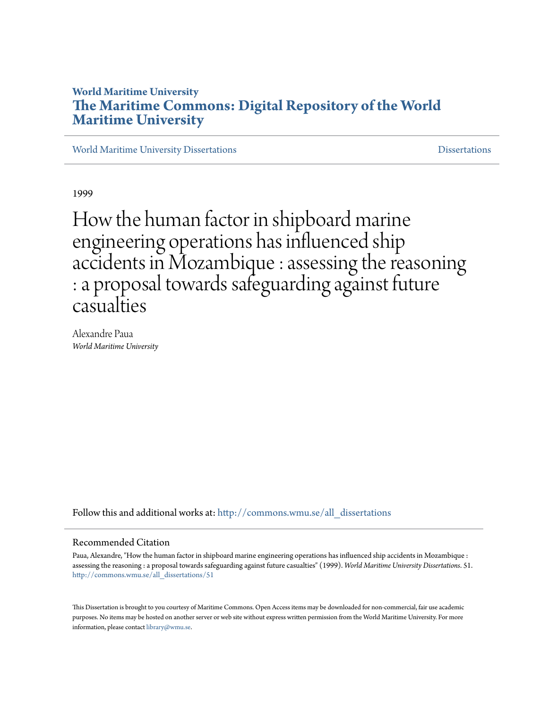# **World Maritime University [The Maritime Commons: Digital Repository of the World](http://commons.wmu.se?utm_source=commons.wmu.se%2Fall_dissertations%2F51&utm_medium=PDF&utm_campaign=PDFCoverPages) [Maritime University](http://commons.wmu.se?utm_source=commons.wmu.se%2Fall_dissertations%2F51&utm_medium=PDF&utm_campaign=PDFCoverPages)**

[World Maritime University Dissertations](http://commons.wmu.se/all_dissertations?utm_source=commons.wmu.se%2Fall_dissertations%2F51&utm_medium=PDF&utm_campaign=PDFCoverPages) [Dissertations](http://commons.wmu.se/dissertations?utm_source=commons.wmu.se%2Fall_dissertations%2F51&utm_medium=PDF&utm_campaign=PDFCoverPages)

1999

How the human factor in shipboard marine engineering operations has influenced ship accidents in Mozambique : assessing the reasoning : a proposal towards safeguarding against future casualties

Alexandre Paua *World Maritime University*

Follow this and additional works at: [http://commons.wmu.se/all\\_dissertations](http://commons.wmu.se/all_dissertations?utm_source=commons.wmu.se%2Fall_dissertations%2F51&utm_medium=PDF&utm_campaign=PDFCoverPages)

#### Recommended Citation

Paua, Alexandre, "How the human factor in shipboard marine engineering operations has influenced ship accidents in Mozambique : assessing the reasoning : a proposal towards safeguarding against future casualties" (1999). *World Maritime University Dissertations*. 51. [http://commons.wmu.se/all\\_dissertations/51](http://commons.wmu.se/all_dissertations/51?utm_source=commons.wmu.se%2Fall_dissertations%2F51&utm_medium=PDF&utm_campaign=PDFCoverPages)

This Dissertation is brought to you courtesy of Maritime Commons. Open Access items may be downloaded for non-commercial, fair use academic purposes. No items may be hosted on another server or web site without express written permission from the World Maritime University. For more information, please contact [library@wmu.se](mailto:library@wmu.edu).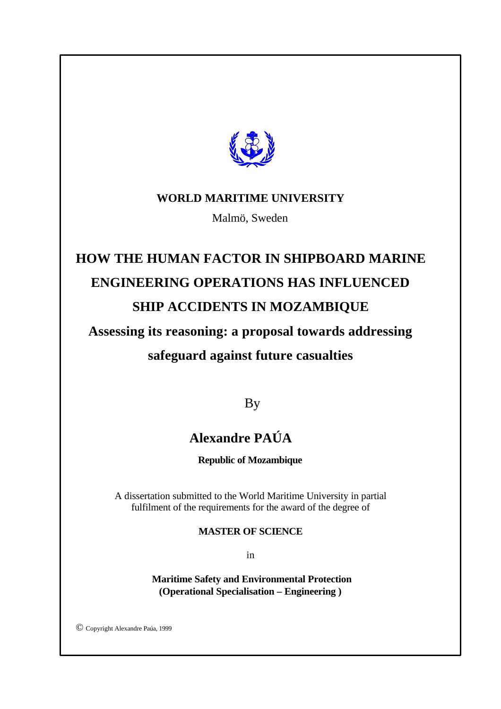

# **WORLD MARITIME UNIVERSITY**

Malmö, Sweden

# **HOW THE HUMAN FACTOR IN SHIPBOARD MARINE ENGINEERING OPERATIONS HAS INFLUENCED SHIP ACCIDENTS IN MOZAMBIQUE**

# **Assessing its reasoning: a proposal towards addressing safeguard against future casualties**

By

# **Alexandre PAÚA**

**Republic of Mozambique**

A dissertation submitted to the World Maritime University in partial fulfilment of the requirements for the award of the degree of

### **MASTER OF SCIENCE**

in

 **Maritime Safety and Environmental Protection (Operational Specialisation – Engineering )**

© Copyright Alexandre Paúa, 1999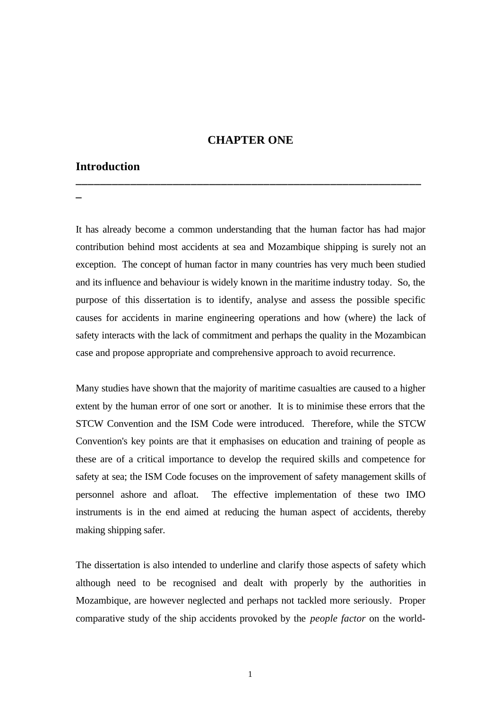#### **CHAPTER ONE**

**\_\_\_\_\_\_\_\_\_\_\_\_\_\_\_\_\_\_\_\_\_\_\_\_\_\_\_\_\_\_\_\_\_\_\_\_\_\_\_\_\_\_\_\_\_\_\_\_\_\_\_\_\_\_\_\_\_**

### **Introduction**

**\_**

It has already become a common understanding that the human factor has had major contribution behind most accidents at sea and Mozambique shipping is surely not an exception. The concept of human factor in many countries has very much been studied and its influence and behaviour is widely known in the maritime industry today. So, the purpose of this dissertation is to identify, analyse and assess the possible specific causes for accidents in marine engineering operations and how (where) the lack of safety interacts with the lack of commitment and perhaps the quality in the Mozambican case and propose appropriate and comprehensive approach to avoid recurrence.

Many studies have shown that the majority of maritime casualties are caused to a higher extent by the human error of one sort or another. It is to minimise these errors that the STCW Convention and the ISM Code were introduced. Therefore, while the STCW Convention's key points are that it emphasises on education and training of people as these are of a critical importance to develop the required skills and competence for safety at sea; the ISM Code focuses on the improvement of safety management skills of personnel ashore and afloat. The effective implementation of these two IMO instruments is in the end aimed at reducing the human aspect of accidents, thereby making shipping safer.

The dissertation is also intended to underline and clarify those aspects of safety which although need to be recognised and dealt with properly by the authorities in Mozambique, are however neglected and perhaps not tackled more seriously. Proper comparative study of the ship accidents provoked by the *people factor* on the world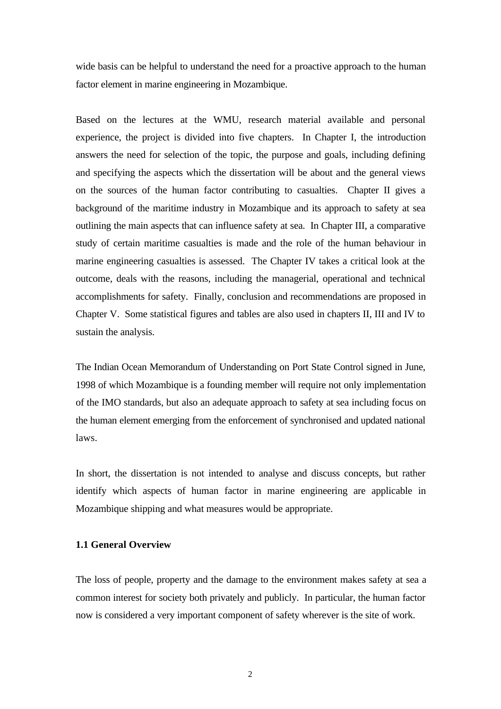wide basis can be helpful to understand the need for a proactive approach to the human factor element in marine engineering in Mozambique.

Based on the lectures at the WMU, research material available and personal experience, the project is divided into five chapters. In Chapter I, the introduction answers the need for selection of the topic, the purpose and goals, including defining and specifying the aspects which the dissertation will be about and the general views on the sources of the human factor contributing to casualties. Chapter II gives a background of the maritime industry in Mozambique and its approach to safety at sea outlining the main aspects that can influence safety at sea. In Chapter III, a comparative study of certain maritime casualties is made and the role of the human behaviour in marine engineering casualties is assessed. The Chapter IV takes a critical look at the outcome, deals with the reasons, including the managerial, operational and technical accomplishments for safety. Finally, conclusion and recommendations are proposed in Chapter V. Some statistical figures and tables are also used in chapters II, III and IV to sustain the analysis.

The Indian Ocean Memorandum of Understanding on Port State Control signed in June, 1998 of which Mozambique is a founding member will require not only implementation of the IMO standards, but also an adequate approach to safety at sea including focus on the human element emerging from the enforcement of synchronised and updated national laws.

In short, the dissertation is not intended to analyse and discuss concepts, but rather identify which aspects of human factor in marine engineering are applicable in Mozambique shipping and what measures would be appropriate.

#### **1.1 General Overview**

The loss of people, property and the damage to the environment makes safety at sea a common interest for society both privately and publicly. In particular, the human factor now is considered a very important component of safety wherever is the site of work.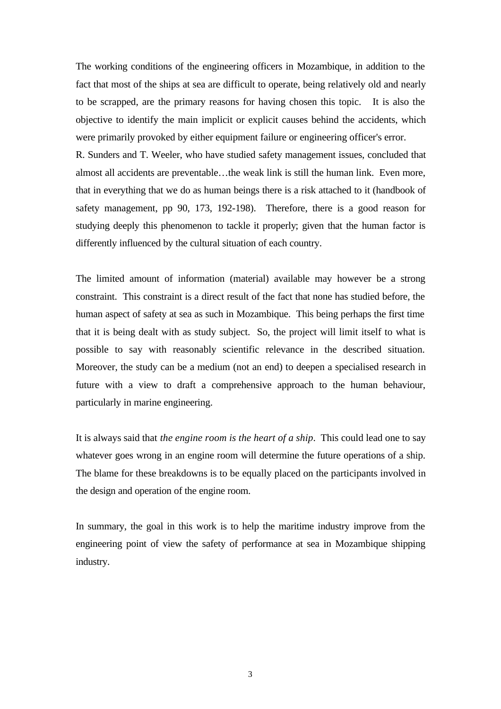The working conditions of the engineering officers in Mozambique, in addition to the fact that most of the ships at sea are difficult to operate, being relatively old and nearly to be scrapped, are the primary reasons for having chosen this topic. It is also the objective to identify the main implicit or explicit causes behind the accidents, which were primarily provoked by either equipment failure or engineering officer's error. R. Sunders and T. Weeler, who have studied safety management issues, concluded that almost all accidents are preventable…the weak link is still the human link. Even more, that in everything that we do as human beings there is a risk attached to it (handbook of safety management, pp 90, 173, 192-198). Therefore, there is a good reason for studying deeply this phenomenon to tackle it properly; given that the human factor is differently influenced by the cultural situation of each country.

The limited amount of information (material) available may however be a strong constraint. This constraint is a direct result of the fact that none has studied before, the human aspect of safety at sea as such in Mozambique. This being perhaps the first time that it is being dealt with as study subject. So, the project will limit itself to what is possible to say with reasonably scientific relevance in the described situation. Moreover, the study can be a medium (not an end) to deepen a specialised research in future with a view to draft a comprehensive approach to the human behaviour, particularly in marine engineering.

It is always said that *the engine room is the heart of a ship*. This could lead one to say whatever goes wrong in an engine room will determine the future operations of a ship. The blame for these breakdowns is to be equally placed on the participants involved in the design and operation of the engine room.

In summary, the goal in this work is to help the maritime industry improve from the engineering point of view the safety of performance at sea in Mozambique shipping industry.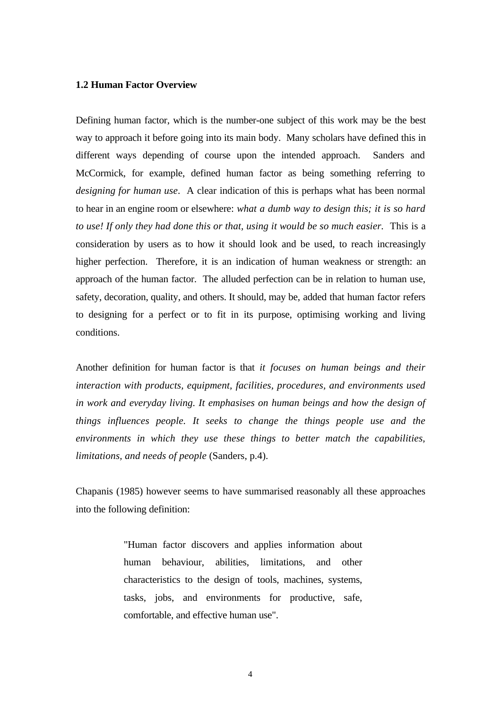#### **1.2 Human Factor Overview**

Defining human factor, which is the number-one subject of this work may be the best way to approach it before going into its main body. Many scholars have defined this in different ways depending of course upon the intended approach. Sanders and McCormick, for example, defined human factor as being something referring to *designing for human use*. A clear indication of this is perhaps what has been normal to hear in an engine room or elsewhere: *what a dumb way to design this; it is so hard to use! If only they had done this or that, using it would be so much easier.* This is a consideration by users as to how it should look and be used, to reach increasingly higher perfection. Therefore, it is an indication of human weakness or strength: an approach of the human factor. The alluded perfection can be in relation to human use, safety, decoration, quality, and others. It should, may be, added that human factor refers to designing for a perfect or to fit in its purpose, optimising working and living conditions.

Another definition for human factor is that *it focuses on human beings and their interaction with products, equipment, facilities, procedures, and environments used in work and everyday living. It emphasises on human beings and how the design of things influences people. It seeks to change the things people use and the environments in which they use these things to better match the capabilities, limitations, and needs of people* (Sanders, p.4).

Chapanis (1985) however seems to have summarised reasonably all these approaches into the following definition:

> "Human factor discovers and applies information about human behaviour, abilities, limitations, and other characteristics to the design of tools, machines, systems, tasks, jobs, and environments for productive, safe, comfortable, and effective human use".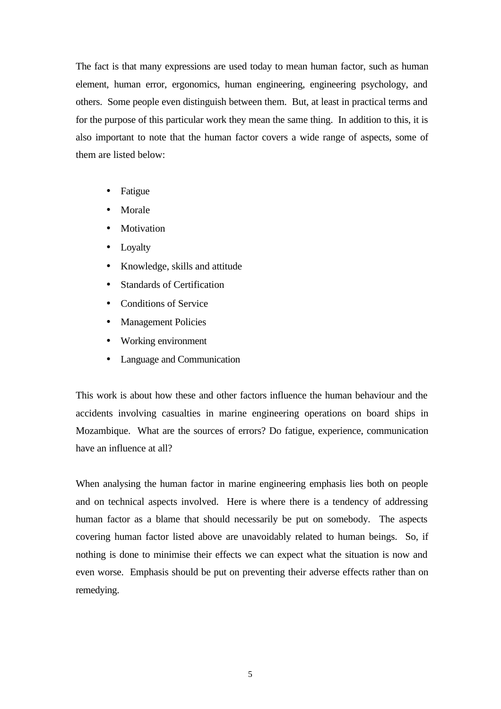The fact is that many expressions are used today to mean human factor, such as human element, human error, ergonomics, human engineering, engineering psychology, and others. Some people even distinguish between them. But, at least in practical terms and for the purpose of this particular work they mean the same thing. In addition to this, it is also important to note that the human factor covers a wide range of aspects, some of them are listed below:

- Fatigue
- **Morale**
- **Motivation**
- Loyalty
- Knowledge, skills and attitude
- Standards of Certification
- Conditions of Service
- Management Policies
- Working environment
- Language and Communication

This work is about how these and other factors influence the human behaviour and the accidents involving casualties in marine engineering operations on board ships in Mozambique. What are the sources of errors? Do fatigue, experience, communication have an influence at all?

When analysing the human factor in marine engineering emphasis lies both on people and on technical aspects involved. Here is where there is a tendency of addressing human factor as a blame that should necessarily be put on somebody. The aspects covering human factor listed above are unavoidably related to human beings. So, if nothing is done to minimise their effects we can expect what the situation is now and even worse. Emphasis should be put on preventing their adverse effects rather than on remedying.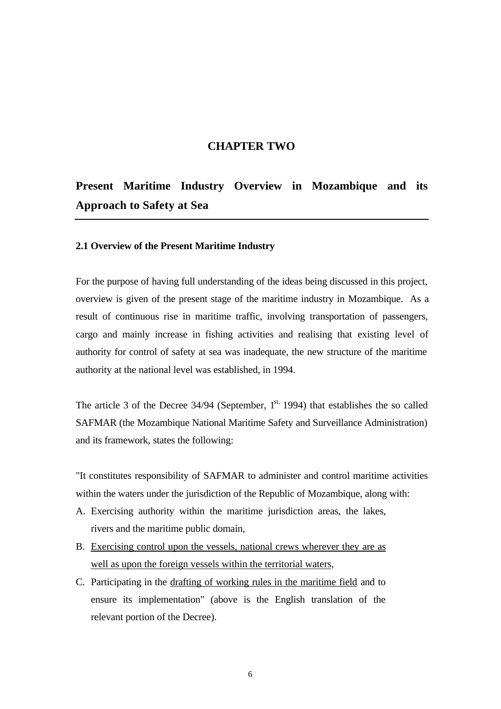### **CHAPTER TWO**

# **Present Maritime Industry Overview in Mozambique and its Approach to Safety at Sea**

#### **2.1 Overview of the Present Maritime Industry**

For the purpose of having full understanding of the ideas being discussed in this project, overview is given of the present stage of the maritime industry in Mozambique. As a result of continuous rise in maritime traffic, involving transportation of passengers, cargo and mainly increase in fishing activities and realising that existing level of authority for control of safety at sea was inadequate, the new structure of the maritime authority at the national level was established, in 1994.

The article 3 of the Decree  $34/94$  (September,  $1<sup>st</sup>$ , 1994) that establishes the so called SAFMAR (the Mozambique National Maritime Safety and Surveillance Administration) and its framework, states the following:

"It constitutes responsibility of SAFMAR to administer and control maritime activities within the waters under the jurisdiction of the Republic of Mozambique, along with:

- A. Exercising authority within the maritime jurisdiction areas, the lakes, rivers and the maritime public domain,
- B. Exercising control upon the vessels, national crews wherever they are as well as upon the foreign vessels within the territorial waters,
- C. Participating in the drafting of working rules in the maritime field and to ensure its implementation" (above is the English translation of the relevant portion of the Decree).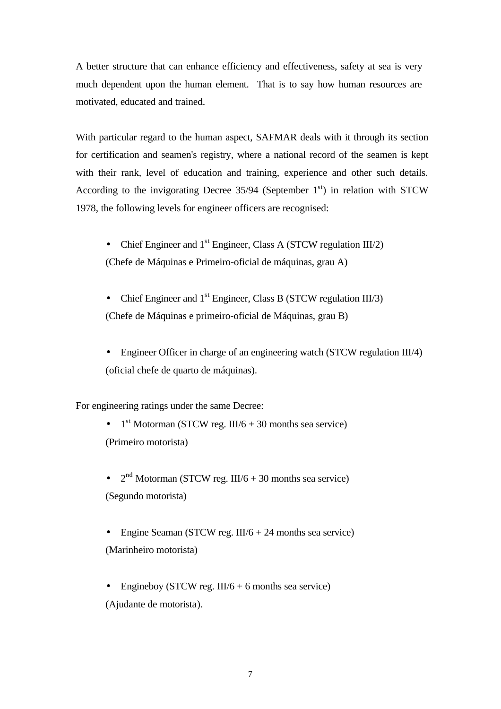A better structure that can enhance efficiency and effectiveness, safety at sea is very much dependent upon the human element. That is to say how human resources are motivated, educated and trained.

With particular regard to the human aspect, SAFMAR deals with it through its section for certification and seamen's registry, where a national record of the seamen is kept with their rank, level of education and training, experience and other such details. According to the invigorating Decree  $35/94$  (September  $1<sup>st</sup>$ ) in relation with STCW 1978, the following levels for engineer officers are recognised:

- Chief Engineer and  $1<sup>st</sup>$  Engineer, Class A (STCW regulation III/2) (Chefe de Máquinas e Primeiro-oficial de máquinas, grau A)
- Chief Engineer and  $1<sup>st</sup>$  Engineer, Class B (STCW regulation III/3) (Chefe de Máquinas e primeiro-oficial de Máquinas, grau B)
- Engineer Officer in charge of an engineering watch (STCW regulation III/4) (oficial chefe de quarto de máquinas).

For engineering ratings under the same Decree:

•  $1<sup>st</sup> Motorman (STCW reg. III/6 + 30 months sea service)$ (Primeiro motorista)

•  $2<sup>nd</sup> Motorman (STCW reg. III/6 + 30 months sea service)$ (Segundo motorista)

- Engine Seaman (STCW reg. III/ $6 + 24$  months sea service) (Marinheiro motorista)
- Engineboy (STCW reg. III/6 + 6 months sea service) (Ajudante de motorista).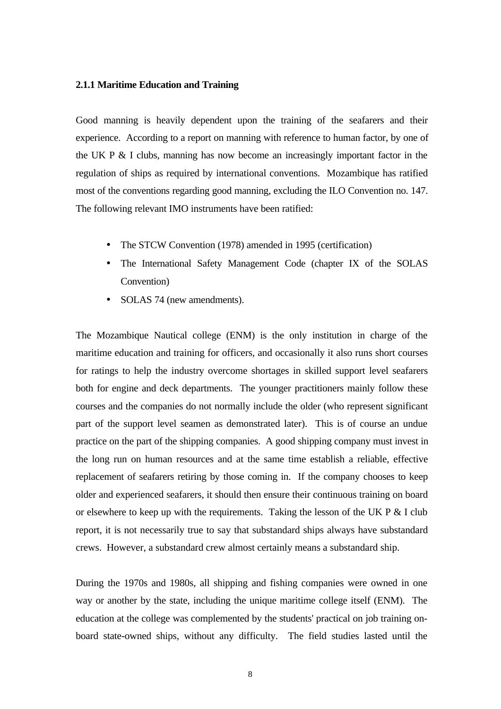#### **2.1.1 Maritime Education and Training**

Good manning is heavily dependent upon the training of the seafarers and their experience. According to a report on manning with reference to human factor, by one of the UK P & I clubs, manning has now become an increasingly important factor in the regulation of ships as required by international conventions. Mozambique has ratified most of the conventions regarding good manning, excluding the ILO Convention no. 147. The following relevant IMO instruments have been ratified:

- The STCW Convention (1978) amended in 1995 (certification)
- The International Safety Management Code (chapter IX of the SOLAS Convention)
- SOLAS 74 (new amendments).

The Mozambique Nautical college (ENM) is the only institution in charge of the maritime education and training for officers, and occasionally it also runs short courses for ratings to help the industry overcome shortages in skilled support level seafarers both for engine and deck departments. The younger practitioners mainly follow these courses and the companies do not normally include the older (who represent significant part of the support level seamen as demonstrated later). This is of course an undue practice on the part of the shipping companies. A good shipping company must invest in the long run on human resources and at the same time establish a reliable, effective replacement of seafarers retiring by those coming in. If the company chooses to keep older and experienced seafarers, it should then ensure their continuous training on board or elsewhere to keep up with the requirements. Taking the lesson of the UK P  $\&$  I club report, it is not necessarily true to say that substandard ships always have substandard crews. However, a substandard crew almost certainly means a substandard ship.

During the 1970s and 1980s, all shipping and fishing companies were owned in one way or another by the state, including the unique maritime college itself (ENM). The education at the college was complemented by the students' practical on job training onboard state-owned ships, without any difficulty. The field studies lasted until the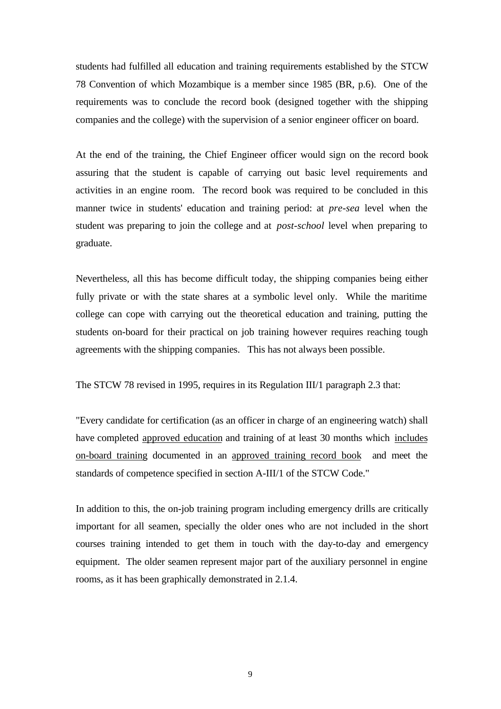students had fulfilled all education and training requirements established by the STCW 78 Convention of which Mozambique is a member since 1985 (BR, p.6). One of the requirements was to conclude the record book (designed together with the shipping companies and the college) with the supervision of a senior engineer officer on board.

At the end of the training, the Chief Engineer officer would sign on the record book assuring that the student is capable of carrying out basic level requirements and activities in an engine room. The record book was required to be concluded in this manner twice in students' education and training period: at *pre-sea* level when the student was preparing to join the college and at *post-school* level when preparing to graduate.

Nevertheless, all this has become difficult today, the shipping companies being either fully private or with the state shares at a symbolic level only. While the maritime college can cope with carrying out the theoretical education and training, putting the students on-board for their practical on job training however requires reaching tough agreements with the shipping companies. This has not always been possible.

The STCW 78 revised in 1995, requires in its Regulation III/1 paragraph 2.3 that:

"Every candidate for certification (as an officer in charge of an engineering watch) shall have completed approved education and training of at least 30 months which includes on-board training documented in an approved training record book and meet the standards of competence specified in section A-III/1 of the STCW Code."

In addition to this, the on-job training program including emergency drills are critically important for all seamen, specially the older ones who are not included in the short courses training intended to get them in touch with the day-to-day and emergency equipment. The older seamen represent major part of the auxiliary personnel in engine rooms, as it has been graphically demonstrated in 2.1.4.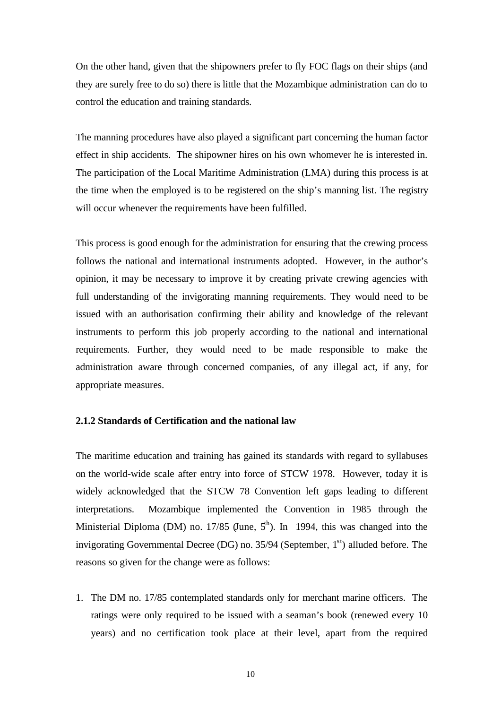On the other hand, given that the shipowners prefer to fly FOC flags on their ships (and they are surely free to do so) there is little that the Mozambique administration can do to control the education and training standards.

The manning procedures have also played a significant part concerning the human factor effect in ship accidents. The shipowner hires on his own whomever he is interested in. The participation of the Local Maritime Administration (LMA) during this process is at the time when the employed is to be registered on the ship's manning list. The registry will occur whenever the requirements have been fulfilled.

This process is good enough for the administration for ensuring that the crewing process follows the national and international instruments adopted. However, in the author's opinion, it may be necessary to improve it by creating private crewing agencies with full understanding of the invigorating manning requirements. They would need to be issued with an authorisation confirming their ability and knowledge of the relevant instruments to perform this job properly according to the national and international requirements. Further, they would need to be made responsible to make the administration aware through concerned companies, of any illegal act, if any, for appropriate measures.

#### **2.1.2 Standards of Certification and the national law**

The maritime education and training has gained its standards with regard to syllabuses on the world-wide scale after entry into force of STCW 1978. However, today it is widely acknowledged that the STCW 78 Convention left gaps leading to different interpretations. Mozambique implemented the Convention in 1985 through the Ministerial Diploma (DM) no. 17/85 (June,  $5<sup>th</sup>$ ). In 1994, this was changed into the invigorating Governmental Decree (DG) no.  $35/94$  (September,  $1<sup>st</sup>$ ) alluded before. The reasons so given for the change were as follows:

1. The DM no. 17/85 contemplated standards only for merchant marine officers. The ratings were only required to be issued with a seaman's book (renewed every 10 years) and no certification took place at their level, apart from the required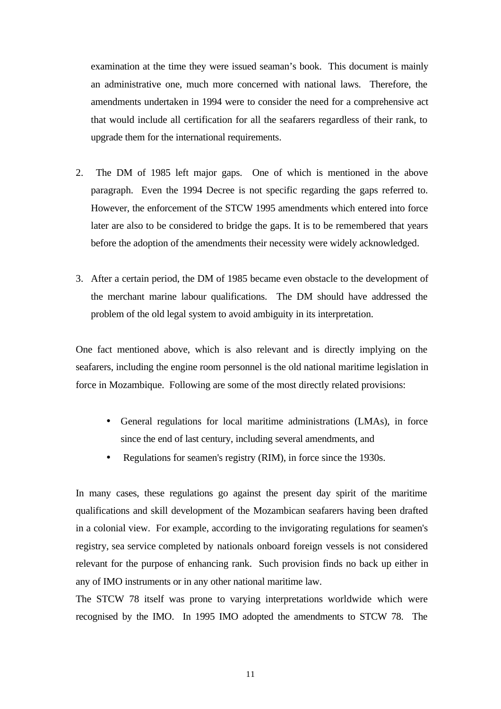examination at the time they were issued seaman's book. This document is mainly an administrative one, much more concerned with national laws. Therefore, the amendments undertaken in 1994 were to consider the need for a comprehensive act that would include all certification for all the seafarers regardless of their rank, to upgrade them for the international requirements.

- 2. The DM of 1985 left major gaps. One of which is mentioned in the above paragraph. Even the 1994 Decree is not specific regarding the gaps referred to. However, the enforcement of the STCW 1995 amendments which entered into force later are also to be considered to bridge the gaps. It is to be remembered that years before the adoption of the amendments their necessity were widely acknowledged.
- 3. After a certain period, the DM of 1985 became even obstacle to the development of the merchant marine labour qualifications. The DM should have addressed the problem of the old legal system to avoid ambiguity in its interpretation.

One fact mentioned above, which is also relevant and is directly implying on the seafarers, including the engine room personnel is the old national maritime legislation in force in Mozambique. Following are some of the most directly related provisions:

- General regulations for local maritime administrations (LMAs), in force since the end of last century, including several amendments, and
- Regulations for seamen's registry (RIM), in force since the 1930s.

In many cases, these regulations go against the present day spirit of the maritime qualifications and skill development of the Mozambican seafarers having been drafted in a colonial view. For example, according to the invigorating regulations for seamen's registry, sea service completed by nationals onboard foreign vessels is not considered relevant for the purpose of enhancing rank. Such provision finds no back up either in any of IMO instruments or in any other national maritime law.

The STCW 78 itself was prone to varying interpretations worldwide which were recognised by the IMO. In 1995 IMO adopted the amendments to STCW 78. The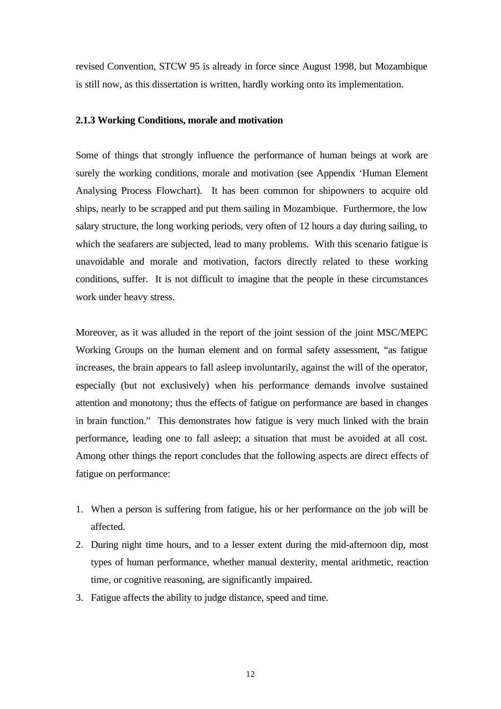revised Convention, STCW 95 is already in force since August 1998, but Mozambique is still now, as this dissertation is written, hardly working onto its implementation.

#### **2.1.3 Working Conditions, morale and motivation**

Some of things that strongly influence the performance of human beings at work are surely the working conditions, morale and motivation (see Appendix 'Human Element Analysing Process Flowchart). It has been common for shipowners to acquire old ships, nearly to be scrapped and put them sailing in Mozambique. Furthermore, the low salary structure, the long working periods, very often of 12 hours a day during sailing, to which the seafarers are subjected, lead to many problems. With this scenario fatigue is unavoidable and morale and motivation, factors directly related to these working conditions, suffer. It is not difficult to imagine that the people in these circumstances work under heavy stress.

Moreover, as it was alluded in the report of the joint session of the joint MSC/MEPC Working Groups on the human element and on formal safety assessment, "as fatigue increases, the brain appears to fall asleep involuntarily, against the will of the operator, especially (but not exclusively) when his performance demands involve sustained attention and monotony; thus the effects of fatigue on performance are based in changes in brain function." This demonstrates how fatigue is very much linked with the brain performance, leading one to fall asleep; a situation that must be avoided at all cost. Among other things the report concludes that the following aspects are direct effects of fatigue on performance:

- 1. When a person is suffering from fatigue, his or her performance on the job will be affected.
- 2. During night time hours, and to a lesser extent during the mid-afternoon dip, most types of human performance, whether manual dexterity, mental arithmetic, reaction time, or cognitive reasoning, are significantly impaired.
- 3. Fatigue affects the ability to judge distance, speed and time.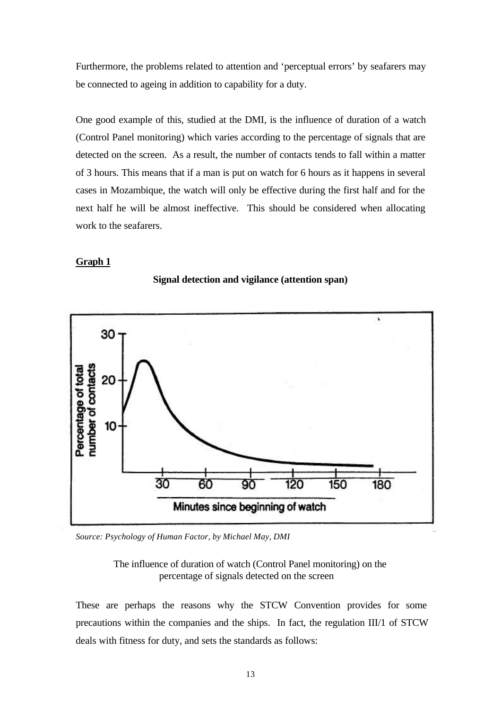Furthermore, the problems related to attention and 'perceptual errors' by seafarers may be connected to ageing in addition to capability for a duty.

One good example of this, studied at the DMI, is the influence of duration of a watch (Control Panel monitoring) which varies according to the percentage of signals that are detected on the screen. As a result, the number of contacts tends to fall within a matter of 3 hours. This means that if a man is put on watch for 6 hours as it happens in several cases in Mozambique, the watch will only be effective during the first half and for the next half he will be almost ineffective. This should be considered when allocating work to the seafarers.

#### **Graph 1**





*Source: Psychology of Human Factor, by Michael May, DMI*

The influence of duration of watch (Control Panel monitoring) on the percentage of signals detected on the screen

These are perhaps the reasons why the STCW Convention provides for some precautions within the companies and the ships. In fact, the regulation III/1 of STCW deals with fitness for duty, and sets the standards as follows: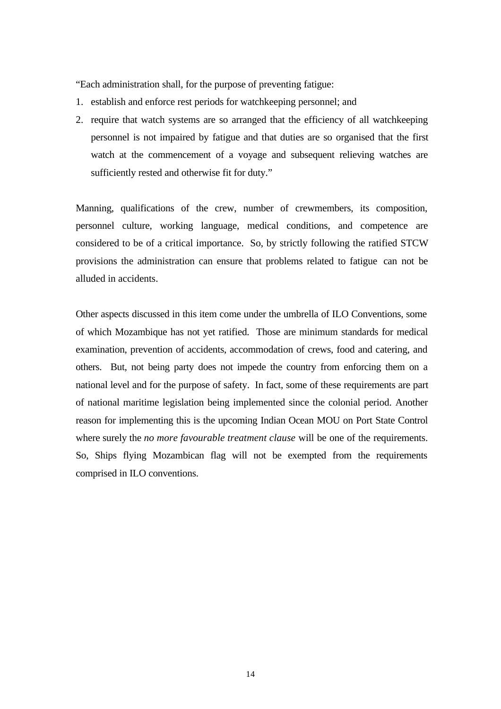"Each administration shall, for the purpose of preventing fatigue:

- 1. establish and enforce rest periods for watchkeeping personnel; and
- 2. require that watch systems are so arranged that the efficiency of all watchkeeping personnel is not impaired by fatigue and that duties are so organised that the first watch at the commencement of a voyage and subsequent relieving watches are sufficiently rested and otherwise fit for duty."

Manning, qualifications of the crew, number of crewmembers, its composition, personnel culture, working language, medical conditions, and competence are considered to be of a critical importance. So, by strictly following the ratified STCW provisions the administration can ensure that problems related to fatigue can not be alluded in accidents.

Other aspects discussed in this item come under the umbrella of ILO Conventions, some of which Mozambique has not yet ratified. Those are minimum standards for medical examination, prevention of accidents, accommodation of crews, food and catering, and others. But, not being party does not impede the country from enforcing them on a national level and for the purpose of safety. In fact, some of these requirements are part of national maritime legislation being implemented since the colonial period. Another reason for implementing this is the upcoming Indian Ocean MOU on Port State Control where surely the *no more favourable treatment clause* will be one of the requirements. So, Ships flying Mozambican flag will not be exempted from the requirements comprised in ILO conventions.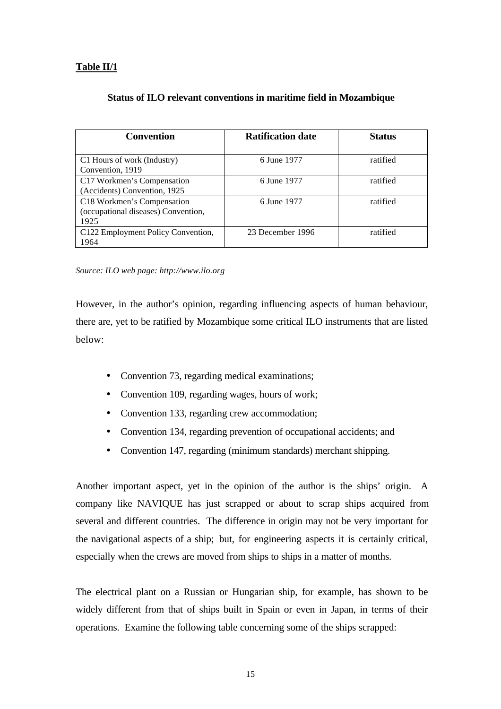| <b>Convention</b>                   | <b>Ratification date</b> | <b>Status</b> |
|-------------------------------------|--------------------------|---------------|
|                                     |                          |               |
| C1 Hours of work (Industry)         | 6 June 1977              | ratified      |
| Convention, 1919                    |                          |               |
| C17 Workmen's Compensation          | 6 June 1977              | ratified      |
| (Accidents) Convention, 1925        |                          |               |
| C18 Workmen's Compensation          | 6 June 1977              | ratified      |
| (occupational diseases) Convention, |                          |               |
| 1925                                |                          |               |
| C122 Employment Policy Convention,  | 23 December 1996         | ratified      |
| 1964                                |                          |               |

#### **Status of ILO relevant conventions in maritime field in Mozambique**

*Source: ILO web page: http://www.ilo.org*

However, in the author's opinion, regarding influencing aspects of human behaviour, there are, yet to be ratified by Mozambique some critical ILO instruments that are listed below:

- Convention 73, regarding medical examinations;
- Convention 109, regarding wages, hours of work;
- Convention 133, regarding crew accommodation;
- Convention 134, regarding prevention of occupational accidents; and
- Convention 147, regarding (minimum standards) merchant shipping.

Another important aspect, yet in the opinion of the author is the ships' origin. A company like NAVIQUE has just scrapped or about to scrap ships acquired from several and different countries. The difference in origin may not be very important for the navigational aspects of a ship; but, for engineering aspects it is certainly critical, especially when the crews are moved from ships to ships in a matter of months.

The electrical plant on a Russian or Hungarian ship, for example, has shown to be widely different from that of ships built in Spain or even in Japan, in terms of their operations. Examine the following table concerning some of the ships scrapped: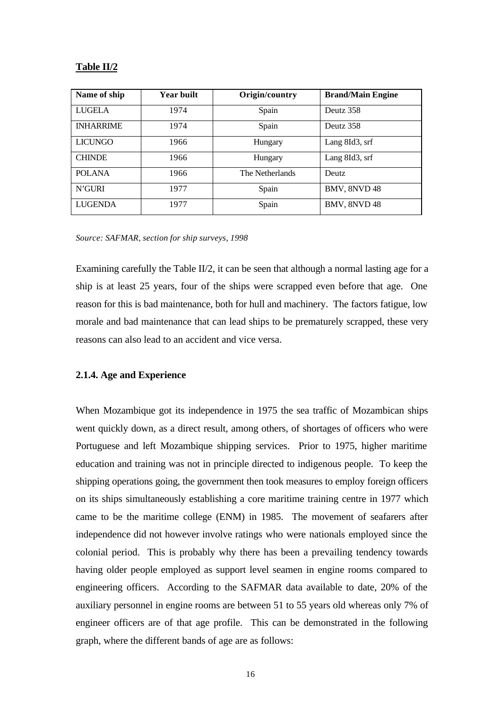#### **Table II/2**

| Name of ship     | <b>Year built</b> | Origin/country  | <b>Brand/Main Engine</b> |
|------------------|-------------------|-----------------|--------------------------|
| LUGELA           | 1974              | Spain           | Deutz 358                |
| <b>INHARRIME</b> | 1974              | Spain           | Deutz 358                |
| <b>LICUNGO</b>   | 1966              | Hungary         | Lang 8Id3, srf           |
| <b>CHINDE</b>    | 1966              | Hungary         | Lang 8Id3, srf           |
| <b>POLANA</b>    | 1966              | The Netherlands | <b>Deutz</b>             |
| N'GURI           | 1977              | Spain           | BMV, 8NVD 48             |
| <b>LUGENDA</b>   | 1977              | Spain           | BMV, 8NVD 48             |

#### *Source: SAFMAR, section for ship surveys, 1998*

Examining carefully the Table II/2, it can be seen that although a normal lasting age for a ship is at least 25 years, four of the ships were scrapped even before that age. One reason for this is bad maintenance, both for hull and machinery. The factors fatigue, low morale and bad maintenance that can lead ships to be prematurely scrapped, these very reasons can also lead to an accident and vice versa.

#### **2.1.4. Age and Experience**

When Mozambique got its independence in 1975 the sea traffic of Mozambican ships went quickly down, as a direct result, among others, of shortages of officers who were Portuguese and left Mozambique shipping services. Prior to 1975, higher maritime education and training was not in principle directed to indigenous people. To keep the shipping operations going, the government then took measures to employ foreign officers on its ships simultaneously establishing a core maritime training centre in 1977 which came to be the maritime college (ENM) in 1985. The movement of seafarers after independence did not however involve ratings who were nationals employed since the colonial period. This is probably why there has been a prevailing tendency towards having older people employed as support level seamen in engine rooms compared to engineering officers. According to the SAFMAR data available to date, 20% of the auxiliary personnel in engine rooms are between 51 to 55 years old whereas only 7% of engineer officers are of that age profile. This can be demonstrated in the following graph, where the different bands of age are as follows: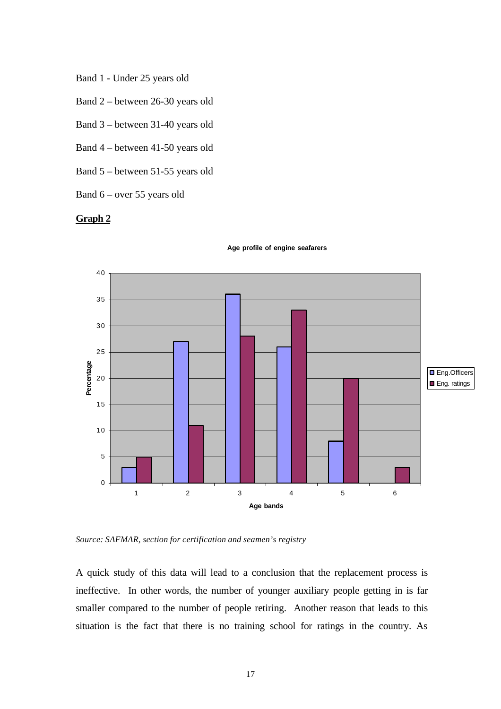- Band 1 Under 25 years old
- Band 2 between 26-30 years old
- Band 3 between 31-40 years old
- Band 4 between 41-50 years old
- Band 5 between 51-55 years old
- Band 6 over 55 years old

#### **Graph 2**



**Age profile of engine seafarers**

*Source: SAFMAR, section for certification and seamen's registry*

A quick study of this data will lead to a conclusion that the replacement process is ineffective. In other words, the number of younger auxiliary people getting in is far smaller compared to the number of people retiring. Another reason that leads to this situation is the fact that there is no training school for ratings in the country. As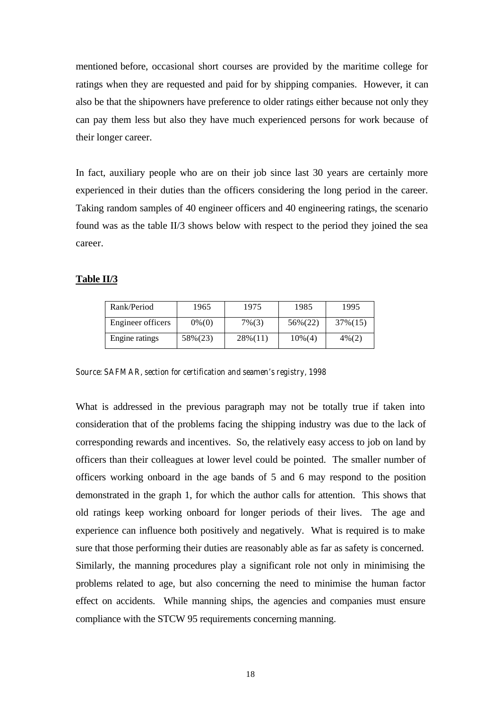mentioned before, occasional short courses are provided by the maritime college for ratings when they are requested and paid for by shipping companies. However, it can also be that the shipowners have preference to older ratings either because not only they can pay them less but also they have much experienced persons for work because of their longer career.

In fact, auxiliary people who are on their job since last 30 years are certainly more experienced in their duties than the officers considering the long period in the career. Taking random samples of 40 engineer officers and 40 engineering ratings, the scenario found was as the table II/3 shows below with respect to the period they joined the sea career.

#### **Table II/3**

| Rank/Period       | 1965      | 1975       | 1985       | 1995     |
|-------------------|-----------|------------|------------|----------|
| Engineer officers | $0\%$ (0) | $7\%(3)$   | 56%(22)    | 37% (15) |
| Engine ratings    | 58%(23)   | $28\%(11)$ | $10\%$ (4) | $4\%(2)$ |

*Source: SAFMAR, section for certification and seamen's registry, 1998*

What is addressed in the previous paragraph may not be totally true if taken into consideration that of the problems facing the shipping industry was due to the lack of corresponding rewards and incentives. So, the relatively easy access to job on land by officers than their colleagues at lower level could be pointed. The smaller number of officers working onboard in the age bands of 5 and 6 may respond to the position demonstrated in the graph 1, for which the author calls for attention. This shows that old ratings keep working onboard for longer periods of their lives. The age and experience can influence both positively and negatively. What is required is to make sure that those performing their duties are reasonably able as far as safety is concerned. Similarly, the manning procedures play a significant role not only in minimising the problems related to age, but also concerning the need to minimise the human factor effect on accidents. While manning ships, the agencies and companies must ensure compliance with the STCW 95 requirements concerning manning.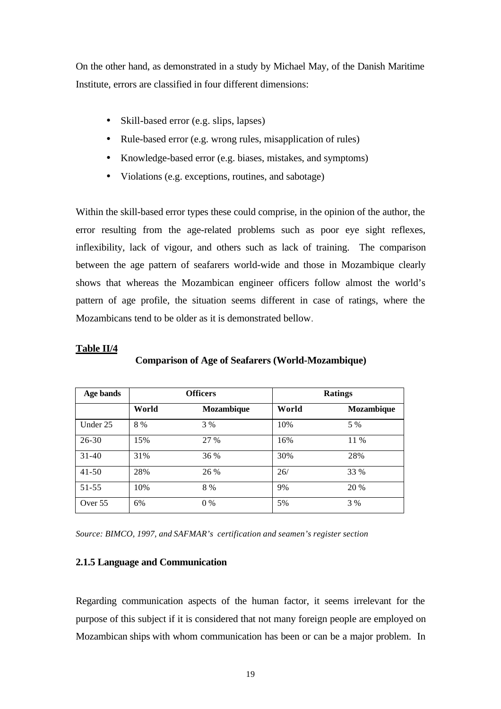On the other hand, as demonstrated in a study by Michael May, of the Danish Maritime Institute, errors are classified in four different dimensions:

- Skill-based error (e.g. slips, lapses)
- Rule-based error (e.g. wrong rules, misapplication of rules)
- Knowledge-based error (e.g. biases, mistakes, and symptoms)
- Violations (e.g. exceptions, routines, and sabotage)

Within the skill-based error types these could comprise, in the opinion of the author, the error resulting from the age-related problems such as poor eye sight reflexes, inflexibility, lack of vigour, and others such as lack of training. The comparison between the age pattern of seafarers world-wide and those in Mozambique clearly shows that whereas the Mozambican engineer officers follow almost the world's pattern of age profile, the situation seems different in case of ratings, where the Mozambicans tend to be older as it is demonstrated bellow.

#### **Table II/4**

| Age bands | <b>Officers</b> |                   |       | <b>Ratings</b>    |  |
|-----------|-----------------|-------------------|-------|-------------------|--|
|           | World           | <b>Mozambique</b> | World | <b>Mozambique</b> |  |
| Under 25  | 8 %             | 3 %               | 10%   | 5 %               |  |
| $26 - 30$ | 15%             | 27 %              | 16%   | 11 %              |  |
| $31 - 40$ | 31%             | 36 %              | 30%   | 28%               |  |
| $41 - 50$ | 28%             | 26 %              | 26/   | 33 %              |  |
| $51 - 55$ | 10%             | 8 %               | 9%    | 20 %              |  |
| Over 55   | 6%              | $0\%$             | 5%    | 3 %               |  |

**Comparison of Age of Seafarers (World-Mozambique)**

*Source: BIMCO, 1997, and SAFMAR's certification and seamen's register section*

#### **2.1.5 Language and Communication**

Regarding communication aspects of the human factor, it seems irrelevant for the purpose of this subject if it is considered that not many foreign people are employed on Mozambican ships with whom communication has been or can be a major problem. In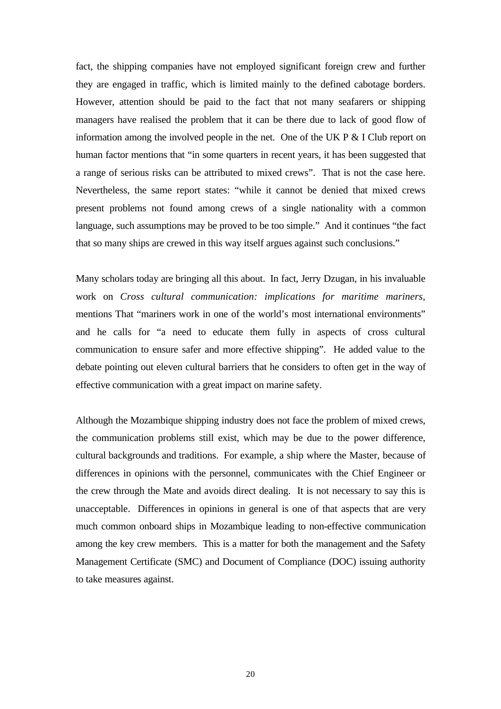fact, the shipping companies have not employed significant foreign crew and further they are engaged in traffic, which is limited mainly to the defined cabotage borders. However, attention should be paid to the fact that not many seafarers or shipping managers have realised the problem that it can be there due to lack of good flow of information among the involved people in the net. One of the UK P & I Club report on human factor mentions that "in some quarters in recent years, it has been suggested that a range of serious risks can be attributed to mixed crews". That is not the case here. Nevertheless, the same report states: "while it cannot be denied that mixed crews present problems not found among crews of a single nationality with a common language, such assumptions may be proved to be too simple." And it continues "the fact that so many ships are crewed in this way itself argues against such conclusions."

Many scholars today are bringing all this about. In fact, Jerry Dzugan, in his invaluable work on *Cross cultural communication: implications for maritime mariners,* mentions That "mariners work in one of the world's most international environments" and he calls for "a need to educate them fully in aspects of cross cultural communication to ensure safer and more effective shipping". He added value to the debate pointing out eleven cultural barriers that he considers to often get in the way of effective communication with a great impact on marine safety.

Although the Mozambique shipping industry does not face the problem of mixed crews, the communication problems still exist, which may be due to the power difference, cultural backgrounds and traditions. For example, a ship where the Master, because of differences in opinions with the personnel, communicates with the Chief Engineer or the crew through the Mate and avoids direct dealing. It is not necessary to say this is unacceptable. Differences in opinions in general is one of that aspects that are very much common onboard ships in Mozambique leading to non-effective communication among the key crew members. This is a matter for both the management and the Safety Management Certificate (SMC) and Document of Compliance (DOC) issuing authority to take measures against.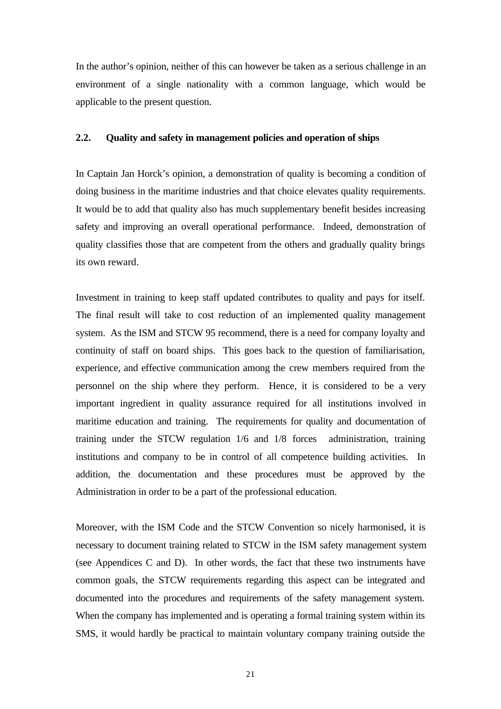In the author's opinion, neither of this can however be taken as a serious challenge in an environment of a single nationality with a common language, which would be applicable to the present question.

#### **2.2. Quality and safety in management policies and operation of ships**

In Captain Jan Horck's opinion, a demonstration of quality is becoming a condition of doing business in the maritime industries and that choice elevates quality requirements. It would be to add that quality also has much supplementary benefit besides increasing safety and improving an overall operational performance. Indeed, demonstration of quality classifies those that are competent from the others and gradually quality brings its own reward.

Investment in training to keep staff updated contributes to quality and pays for itself. The final result will take to cost reduction of an implemented quality management system. As the ISM and STCW 95 recommend, there is a need for company loyalty and continuity of staff on board ships. This goes back to the question of familiarisation, experience, and effective communication among the crew members required from the personnel on the ship where they perform. Hence, it is considered to be a very important ingredient in quality assurance required for all institutions involved in maritime education and training. The requirements for quality and documentation of training under the STCW regulation 1/6 and 1/8 forces administration, training institutions and company to be in control of all competence building activities. In addition, the documentation and these procedures must be approved by the Administration in order to be a part of the professional education.

Moreover, with the ISM Code and the STCW Convention so nicely harmonised, it is necessary to document training related to STCW in the ISM safety management system (see Appendices C and D). In other words, the fact that these two instruments have common goals, the STCW requirements regarding this aspect can be integrated and documented into the procedures and requirements of the safety management system. When the company has implemented and is operating a formal training system within its SMS, it would hardly be practical to maintain voluntary company training outside the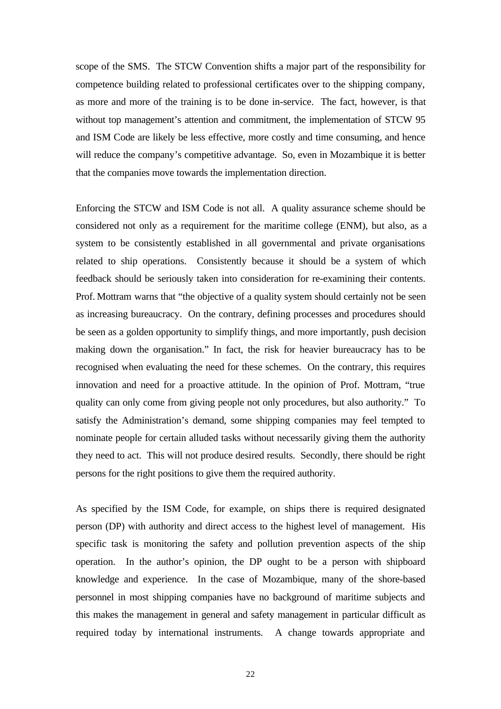scope of the SMS. The STCW Convention shifts a major part of the responsibility for competence building related to professional certificates over to the shipping company, as more and more of the training is to be done in-service. The fact, however, is that without top management's attention and commitment, the implementation of STCW 95 and ISM Code are likely be less effective, more costly and time consuming, and hence will reduce the company's competitive advantage. So, even in Mozambique it is better that the companies move towards the implementation direction.

Enforcing the STCW and ISM Code is not all. A quality assurance scheme should be considered not only as a requirement for the maritime college (ENM), but also, as a system to be consistently established in all governmental and private organisations related to ship operations. Consistently because it should be a system of which feedback should be seriously taken into consideration for re-examining their contents. Prof. Mottram warns that "the objective of a quality system should certainly not be seen as increasing bureaucracy. On the contrary, defining processes and procedures should be seen as a golden opportunity to simplify things, and more importantly, push decision making down the organisation." In fact, the risk for heavier bureaucracy has to be recognised when evaluating the need for these schemes. On the contrary, this requires innovation and need for a proactive attitude. In the opinion of Prof. Mottram, "true quality can only come from giving people not only procedures, but also authority." To satisfy the Administration's demand, some shipping companies may feel tempted to nominate people for certain alluded tasks without necessarily giving them the authority they need to act. This will not produce desired results. Secondly, there should be right persons for the right positions to give them the required authority.

As specified by the ISM Code, for example, on ships there is required designated person (DP) with authority and direct access to the highest level of management. His specific task is monitoring the safety and pollution prevention aspects of the ship operation. In the author's opinion, the DP ought to be a person with shipboard knowledge and experience. In the case of Mozambique, many of the shore-based personnel in most shipping companies have no background of maritime subjects and this makes the management in general and safety management in particular difficult as required today by international instruments. A change towards appropriate and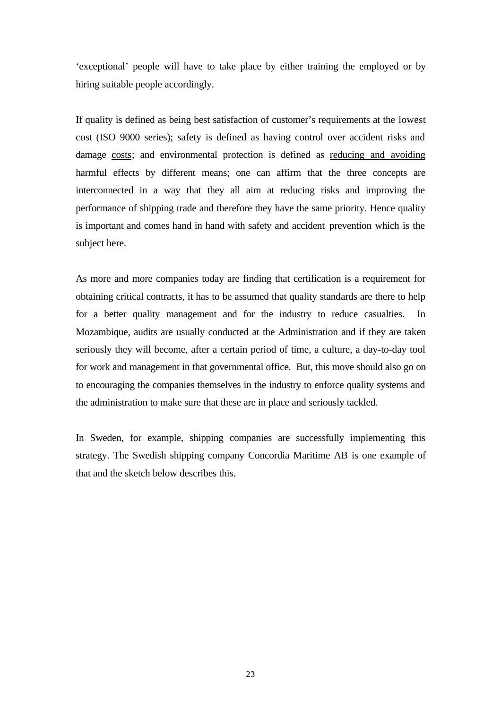'exceptional' people will have to take place by either training the employed or by hiring suitable people accordingly.

If quality is defined as being best satisfaction of customer's requirements at the lowest cost (ISO 9000 series); safety is defined as having control over accident risks and damage costs; and environmental protection is defined as reducing and avoiding harmful effects by different means; one can affirm that the three concepts are interconnected in a way that they all aim at reducing risks and improving the performance of shipping trade and therefore they have the same priority. Hence quality is important and comes hand in hand with safety and accident prevention which is the subject here.

As more and more companies today are finding that certification is a requirement for obtaining critical contracts, it has to be assumed that quality standards are there to help for a better quality management and for the industry to reduce casualties. Mozambique, audits are usually conducted at the Administration and if they are taken seriously they will become, after a certain period of time, a culture, a day-to-day tool for work and management in that governmental office. But, this move should also go on to encouraging the companies themselves in the industry to enforce quality systems and the administration to make sure that these are in place and seriously tackled.

In Sweden, for example, shipping companies are successfully implementing this strategy. The Swedish shipping company Concordia Maritime AB is one example of that and the sketch below describes this.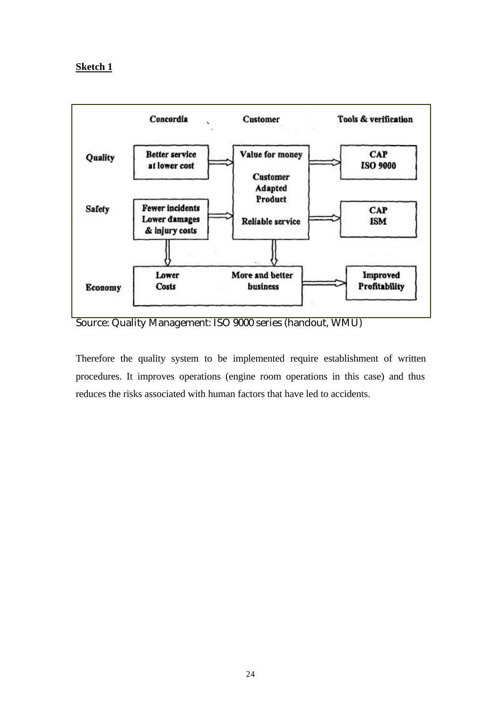### **Sketch 1**



Source: Quality Management: ISO 9000 series (handout, WMU)

Therefore the quality system to be implemented require establishment of written procedures. It improves operations (engine room operations in this case) and thus reduces the risks associated with human factors that have led to accidents.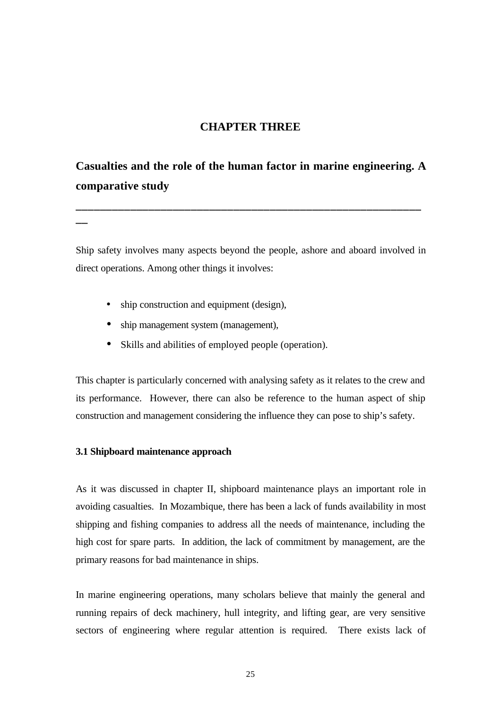# **CHAPTER THREE**

# **Casualties and the role of the human factor in marine engineering. A comparative study**

**\_\_\_\_\_\_\_\_\_\_\_\_\_\_\_\_\_\_\_\_\_\_\_\_\_\_\_\_\_\_\_\_\_\_\_\_\_\_\_\_\_\_\_\_\_\_\_\_\_\_\_\_\_\_\_\_\_**

Ship safety involves many aspects beyond the people, ashore and aboard involved in direct operations. Among other things it involves:

- ship construction and equipment (design),
- ship management system (management),
- Skills and abilities of employed people (operation).

This chapter is particularly concerned with analysing safety as it relates to the crew and its performance. However, there can also be reference to the human aspect of ship construction and management considering the influence they can pose to ship's safety.

#### **3.1 Shipboard maintenance approach**

**\_\_**

As it was discussed in chapter II, shipboard maintenance plays an important role in avoiding casualties. In Mozambique, there has been a lack of funds availability in most shipping and fishing companies to address all the needs of maintenance, including the high cost for spare parts. In addition, the lack of commitment by management, are the primary reasons for bad maintenance in ships.

In marine engineering operations, many scholars believe that mainly the general and running repairs of deck machinery, hull integrity, and lifting gear, are very sensitive sectors of engineering where regular attention is required. There exists lack of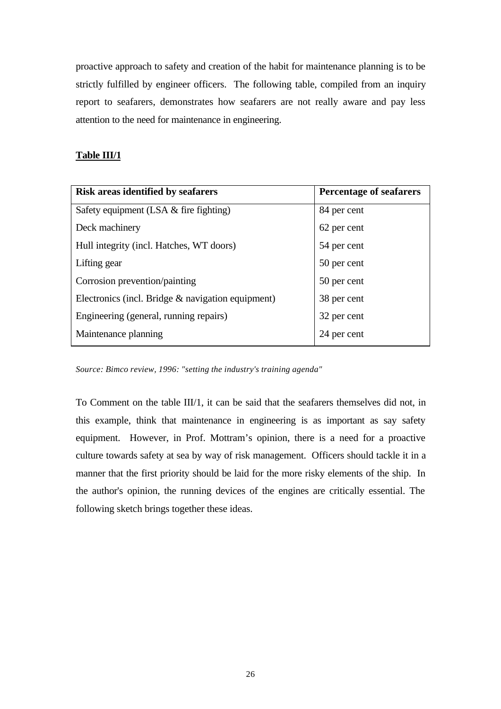proactive approach to safety and creation of the habit for maintenance planning is to be strictly fulfilled by engineer officers. The following table, compiled from an inquiry report to seafarers, demonstrates how seafarers are not really aware and pay less attention to the need for maintenance in engineering.

#### **Table III/1**

| Risk areas identified by seafarers                | <b>Percentage of seafarers</b> |
|---------------------------------------------------|--------------------------------|
| Safety equipment $(LSA \&$ fire fighting)         | 84 per cent                    |
| Deck machinery                                    | 62 per cent                    |
| Hull integrity (incl. Hatches, WT doors)          | 54 per cent                    |
| Lifting gear                                      | 50 per cent                    |
| Corrosion prevention/painting                     | 50 per cent                    |
| Electronics (incl. Bridge & navigation equipment) | 38 per cent                    |
| Engineering (general, running repairs)            | 32 per cent                    |
| Maintenance planning                              | 24 per cent                    |

*Source: Bimco review, 1996: "setting the industry's training agenda"*

To Comment on the table III/1, it can be said that the seafarers themselves did not, in this example, think that maintenance in engineering is as important as say safety equipment. However, in Prof. Mottram's opinion, there is a need for a proactive culture towards safety at sea by way of risk management. Officers should tackle it in a manner that the first priority should be laid for the more risky elements of the ship. In the author's opinion, the running devices of the engines are critically essential. The following sketch brings together these ideas.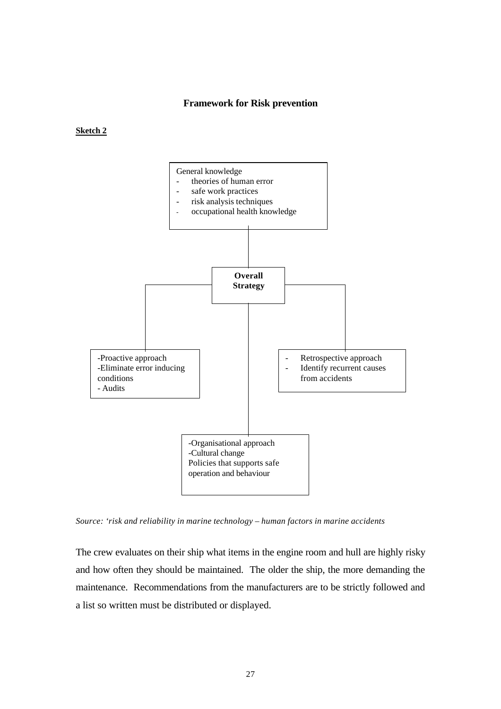#### **Framework for Risk prevention**

#### **Sketch 2**



*Source: 'risk and reliability in marine technology – human factors in marine accidents*

The crew evaluates on their ship what items in the engine room and hull are highly risky and how often they should be maintained. The older the ship, the more demanding the maintenance. Recommendations from the manufacturers are to be strictly followed and a list so written must be distributed or displayed.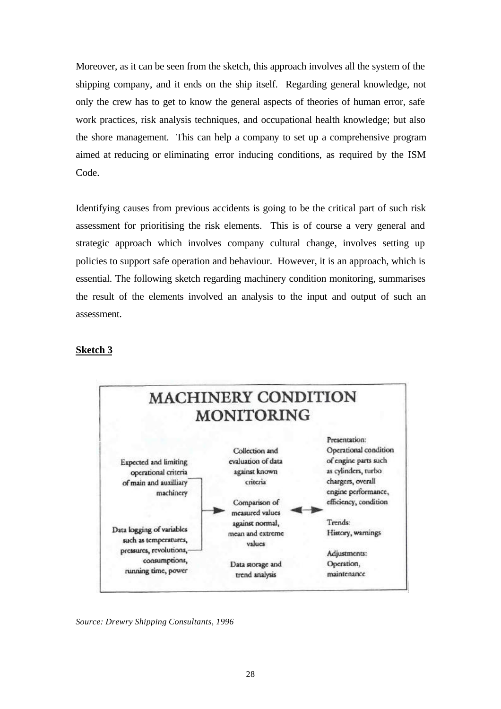Moreover, as it can be seen from the sketch, this approach involves all the system of the shipping company, and it ends on the ship itself. Regarding general knowledge, not only the crew has to get to know the general aspects of theories of human error, safe work practices, risk analysis techniques, and occupational health knowledge; but also the shore management. This can help a company to set up a comprehensive program aimed at reducing or eliminating error inducing conditions, as required by the ISM Code.

Identifying causes from previous accidents is going to be the critical part of such risk assessment for prioritising the risk elements. This is of course a very general and strategic approach which involves company cultural change, involves setting up policies to support safe operation and behaviour. However, it is an approach, which is essential. The following sketch regarding machinery condition monitoring, summarises the result of the elements involved an analysis to the input and output of such an assessment.

#### **Sketch 3**



*Source: Drewry Shipping Consultants, 1996*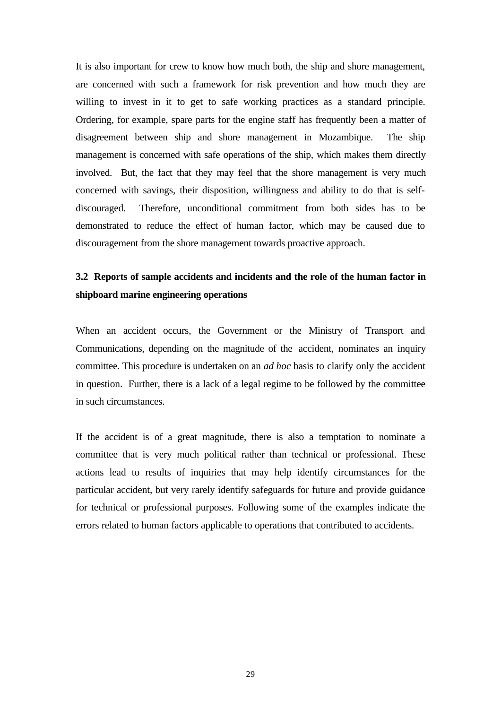It is also important for crew to know how much both, the ship and shore management, are concerned with such a framework for risk prevention and how much they are willing to invest in it to get to safe working practices as a standard principle. Ordering, for example, spare parts for the engine staff has frequently been a matter of disagreement between ship and shore management in Mozambique. The ship management is concerned with safe operations of the ship, which makes them directly involved. But, the fact that they may feel that the shore management is very much concerned with savings, their disposition, willingness and ability to do that is selfdiscouraged. Therefore, unconditional commitment from both sides has to be demonstrated to reduce the effect of human factor, which may be caused due to discouragement from the shore management towards proactive approach.

# **3.2 Reports of sample accidents and incidents and the role of the human factor in shipboard marine engineering operations**

When an accident occurs, the Government or the Ministry of Transport and Communications, depending on the magnitude of the accident, nominates an inquiry committee. This procedure is undertaken on an *ad hoc* basis to clarify only the accident in question. Further, there is a lack of a legal regime to be followed by the committee in such circumstances.

If the accident is of a great magnitude, there is also a temptation to nominate a committee that is very much political rather than technical or professional. These actions lead to results of inquiries that may help identify circumstances for the particular accident, but very rarely identify safeguards for future and provide guidance for technical or professional purposes. Following some of the examples indicate the errors related to human factors applicable to operations that contributed to accidents.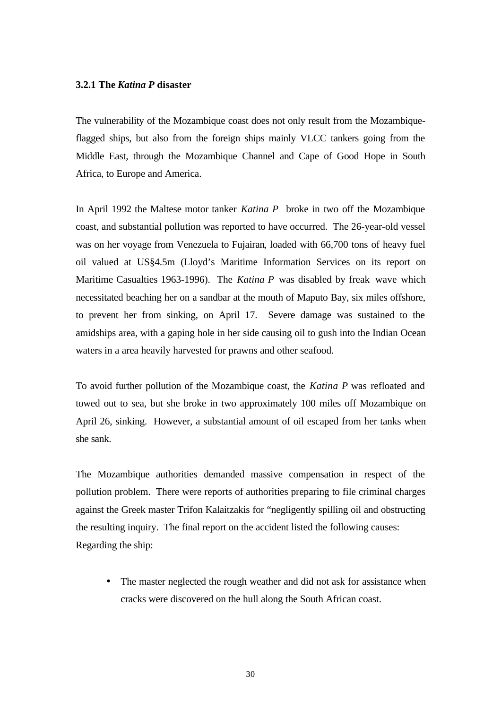#### **3.2.1 The** *Katina P* **disaster**

The vulnerability of the Mozambique coast does not only result from the Mozambiqueflagged ships, but also from the foreign ships mainly VLCC tankers going from the Middle East, through the Mozambique Channel and Cape of Good Hope in South Africa, to Europe and America.

In April 1992 the Maltese motor tanker *Katina P* broke in two off the Mozambique coast, and substantial pollution was reported to have occurred. The 26-year-old vessel was on her voyage from Venezuela to Fujairan, loaded with 66,700 tons of heavy fuel oil valued at US§4.5m (Lloyd's Maritime Information Services on its report on Maritime Casualties 1963-1996). The *Katina P* was disabled by freak wave which necessitated beaching her on a sandbar at the mouth of Maputo Bay, six miles offshore, to prevent her from sinking, on April 17. Severe damage was sustained to the amidships area, with a gaping hole in her side causing oil to gush into the Indian Ocean waters in a area heavily harvested for prawns and other seafood.

To avoid further pollution of the Mozambique coast, the *Katina P* was refloated and towed out to sea, but she broke in two approximately 100 miles off Mozambique on April 26, sinking. However, a substantial amount of oil escaped from her tanks when she sank.

The Mozambique authorities demanded massive compensation in respect of the pollution problem. There were reports of authorities preparing to file criminal charges against the Greek master Trifon Kalaitzakis for "negligently spilling oil and obstructing the resulting inquiry. The final report on the accident listed the following causes: Regarding the ship:

• The master neglected the rough weather and did not ask for assistance when cracks were discovered on the hull along the South African coast.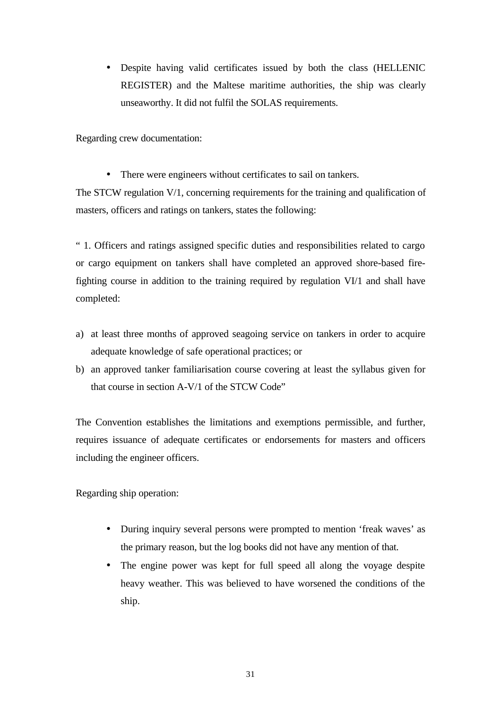• Despite having valid certificates issued by both the class (HELLENIC REGISTER) and the Maltese maritime authorities, the ship was clearly unseaworthy. It did not fulfil the SOLAS requirements.

Regarding crew documentation:

• There were engineers without certificates to sail on tankers.

The STCW regulation V/1, concerning requirements for the training and qualification of masters, officers and ratings on tankers, states the following:

" 1. Officers and ratings assigned specific duties and responsibilities related to cargo or cargo equipment on tankers shall have completed an approved shore-based firefighting course in addition to the training required by regulation VI/1 and shall have completed:

- a) at least three months of approved seagoing service on tankers in order to acquire adequate knowledge of safe operational practices; or
- b) an approved tanker familiarisation course covering at least the syllabus given for that course in section A-V/1 of the STCW Code"

The Convention establishes the limitations and exemptions permissible, and further, requires issuance of adequate certificates or endorsements for masters and officers including the engineer officers.

Regarding ship operation:

- During inquiry several persons were prompted to mention 'freak waves' as the primary reason, but the log books did not have any mention of that.
- The engine power was kept for full speed all along the voyage despite heavy weather. This was believed to have worsened the conditions of the ship.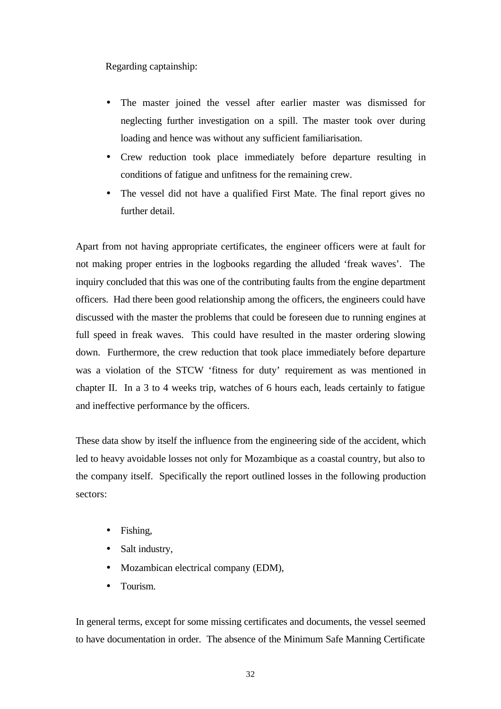Regarding captainship:

- The master joined the vessel after earlier master was dismissed for neglecting further investigation on a spill. The master took over during loading and hence was without any sufficient familiarisation.
- Crew reduction took place immediately before departure resulting in conditions of fatigue and unfitness for the remaining crew.
- The vessel did not have a qualified First Mate. The final report gives no further detail.

Apart from not having appropriate certificates, the engineer officers were at fault for not making proper entries in the logbooks regarding the alluded 'freak waves'. The inquiry concluded that this was one of the contributing faults from the engine department officers. Had there been good relationship among the officers, the engineers could have discussed with the master the problems that could be foreseen due to running engines at full speed in freak waves. This could have resulted in the master ordering slowing down. Furthermore, the crew reduction that took place immediately before departure was a violation of the STCW 'fitness for duty' requirement as was mentioned in chapter II. In a 3 to 4 weeks trip, watches of 6 hours each, leads certainly to fatigue and ineffective performance by the officers.

These data show by itself the influence from the engineering side of the accident, which led to heavy avoidable losses not only for Mozambique as a coastal country, but also to the company itself. Specifically the report outlined losses in the following production sectors:

- Fishing,
- Salt industry,
- Mozambican electrical company (EDM),
- Tourism.

In general terms, except for some missing certificates and documents, the vessel seemed to have documentation in order. The absence of the Minimum Safe Manning Certificate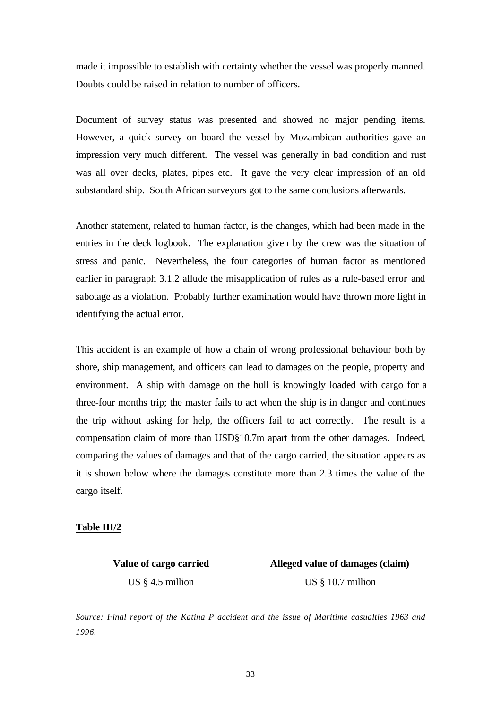made it impossible to establish with certainty whether the vessel was properly manned. Doubts could be raised in relation to number of officers.

Document of survey status was presented and showed no major pending items. However, a quick survey on board the vessel by Mozambican authorities gave an impression very much different. The vessel was generally in bad condition and rust was all over decks, plates, pipes etc. It gave the very clear impression of an old substandard ship. South African surveyors got to the same conclusions afterwards.

Another statement, related to human factor, is the changes, which had been made in the entries in the deck logbook. The explanation given by the crew was the situation of stress and panic. Nevertheless, the four categories of human factor as mentioned earlier in paragraph 3.1.2 allude the misapplication of rules as a rule-based error and sabotage as a violation. Probably further examination would have thrown more light in identifying the actual error.

This accident is an example of how a chain of wrong professional behaviour both by shore, ship management, and officers can lead to damages on the people, property and environment. A ship with damage on the hull is knowingly loaded with cargo for a three-four months trip; the master fails to act when the ship is in danger and continues the trip without asking for help, the officers fail to act correctly. The result is a compensation claim of more than USD§10.7m apart from the other damages. Indeed, comparing the values of damages and that of the cargo carried, the situation appears as it is shown below where the damages constitute more than 2.3 times the value of the cargo itself.

#### **Table III/2**

| Value of cargo carried | Alleged value of damages (claim) |
|------------------------|----------------------------------|
| US $§$ 4.5 million     | US $§$ 10.7 million              |

*Source: Final report of the Katina P accident and the issue of Maritime casualties 1963 and 1996.*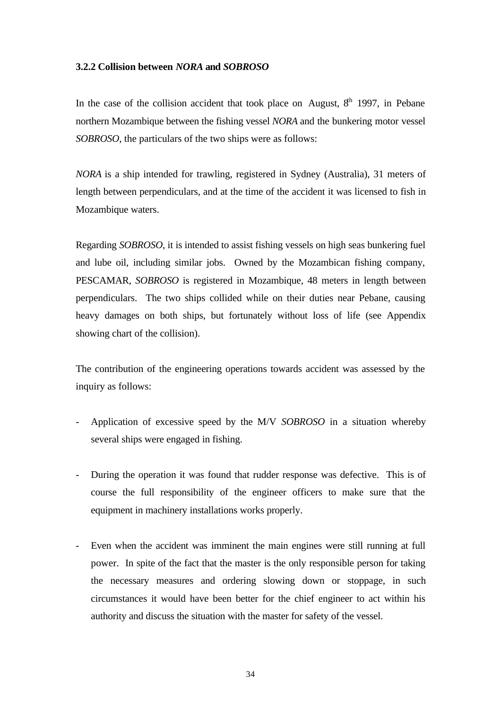#### **3.2.2 Collision between** *NORA* **and** *SOBROSO*

In the case of the collision accident that took place on August,  $8<sup>th</sup>$  1997, in Pebane northern Mozambique between the fishing vessel *NORA* and the bunkering motor vessel *SOBROSO*, the particulars of the two ships were as follows:

*NORA* is a ship intended for trawling, registered in Sydney (Australia), 31 meters of length between perpendiculars, and at the time of the accident it was licensed to fish in Mozambique waters.

Regarding *SOBROSO*, it is intended to assist fishing vessels on high seas bunkering fuel and lube oil, including similar jobs. Owned by the Mozambican fishing company, PESCAMAR, *SOBROSO* is registered in Mozambique, 48 meters in length between perpendiculars. The two ships collided while on their duties near Pebane, causing heavy damages on both ships, but fortunately without loss of life (see Appendix showing chart of the collision).

The contribution of the engineering operations towards accident was assessed by the inquiry as follows:

- Application of excessive speed by the M/V *SOBROSO* in a situation whereby several ships were engaged in fishing.
- During the operation it was found that rudder response was defective. This is of course the full responsibility of the engineer officers to make sure that the equipment in machinery installations works properly.
- Even when the accident was imminent the main engines were still running at full power. In spite of the fact that the master is the only responsible person for taking the necessary measures and ordering slowing down or stoppage, in such circumstances it would have been better for the chief engineer to act within his authority and discuss the situation with the master for safety of the vessel.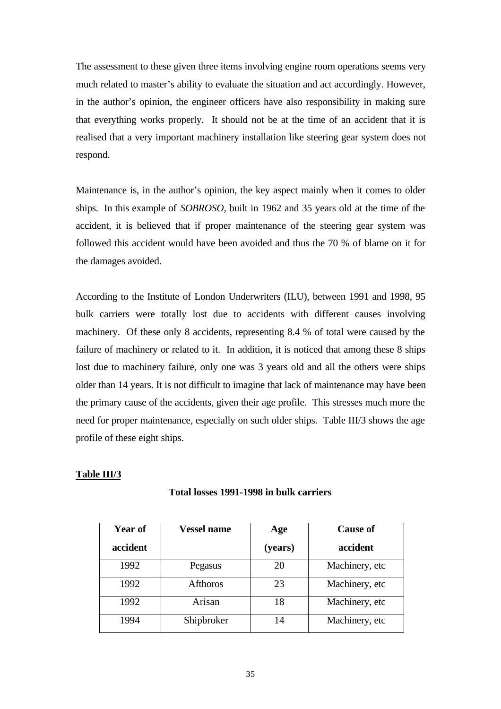The assessment to these given three items involving engine room operations seems very much related to master's ability to evaluate the situation and act accordingly. However, in the author's opinion, the engineer officers have also responsibility in making sure that everything works properly. It should not be at the time of an accident that it is realised that a very important machinery installation like steering gear system does not respond.

Maintenance is, in the author's opinion, the key aspect mainly when it comes to older ships. In this example of *SOBROSO*, built in 1962 and 35 years old at the time of the accident, it is believed that if proper maintenance of the steering gear system was followed this accident would have been avoided and thus the 70 % of blame on it for the damages avoided.

According to the Institute of London Underwriters (ILU), between 1991 and 1998, 95 bulk carriers were totally lost due to accidents with different causes involving machinery. Of these only 8 accidents, representing 8.4 % of total were caused by the failure of machinery or related to it. In addition, it is noticed that among these 8 ships lost due to machinery failure, only one was 3 years old and all the others were ships older than 14 years. It is not difficult to imagine that lack of maintenance may have been the primary cause of the accidents, given their age profile. This stresses much more the need for proper maintenance, especially on such older ships. Table III/3 shows the age profile of these eight ships.

#### **Table III/3**

| <b>Year of</b> | <b>Vessel name</b> | Age     | <b>Cause of</b> |
|----------------|--------------------|---------|-----------------|
| accident       |                    | (years) | accident        |
| 1992           | Pegasus            | 20      | Machinery, etc  |
| 1992           | <b>Afthoros</b>    | 23      | Machinery, etc  |
| 1992           | Arisan             | 18      | Machinery, etc  |
| 1994           | Shipbroker         | 14      | Machinery, etc  |

#### **Total losses 1991-1998 in bulk carriers**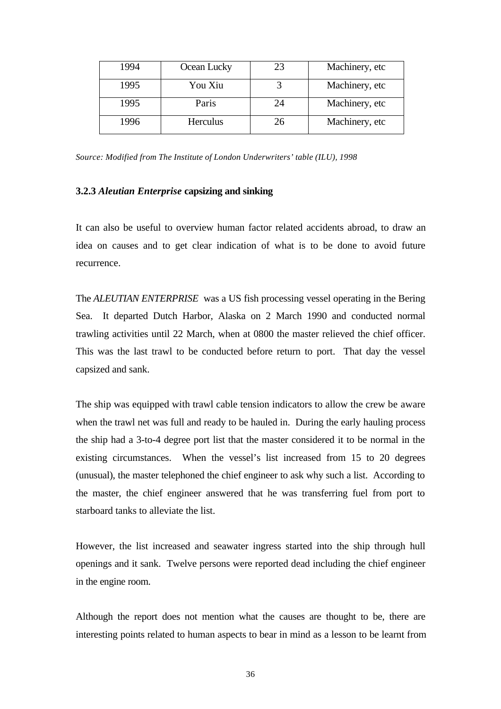| 1994 | Ocean Lucky | 23 | Machinery, etc |
|------|-------------|----|----------------|
| 1995 | You Xiu     |    | Machinery, etc |
| 1995 | Paris       | 24 | Machinery, etc |
| 1996 | Herculus    | 26 | Machinery, etc |

*Source: Modified from The Institute of London Underwriters' table (ILU), 1998*

#### **3.2.3** *Aleutian Enterprise* **capsizing and sinking**

It can also be useful to overview human factor related accidents abroad, to draw an idea on causes and to get clear indication of what is to be done to avoid future recurrence.

The *ALEUTIAN ENTERPRISE* was a US fish processing vessel operating in the Bering Sea. It departed Dutch Harbor, Alaska on 2 March 1990 and conducted normal trawling activities until 22 March, when at 0800 the master relieved the chief officer. This was the last trawl to be conducted before return to port. That day the vessel capsized and sank.

The ship was equipped with trawl cable tension indicators to allow the crew be aware when the trawl net was full and ready to be hauled in. During the early hauling process the ship had a 3-to-4 degree port list that the master considered it to be normal in the existing circumstances. When the vessel's list increased from 15 to 20 degrees (unusual), the master telephoned the chief engineer to ask why such a list. According to the master, the chief engineer answered that he was transferring fuel from port to starboard tanks to alleviate the list.

However, the list increased and seawater ingress started into the ship through hull openings and it sank. Twelve persons were reported dead including the chief engineer in the engine room.

Although the report does not mention what the causes are thought to be, there are interesting points related to human aspects to bear in mind as a lesson to be learnt from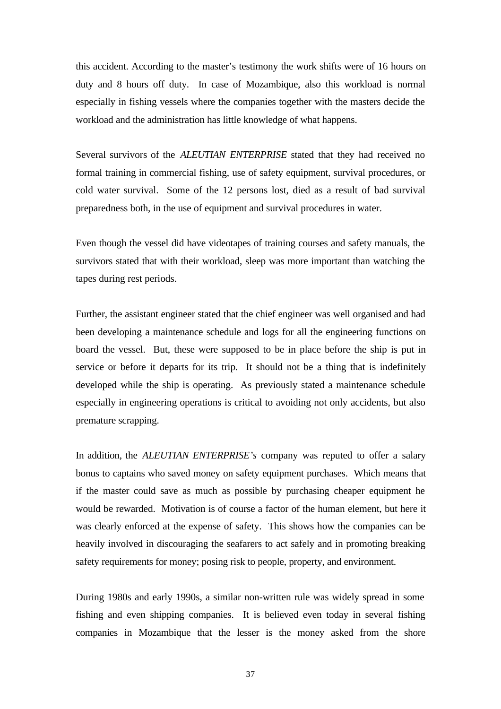this accident. According to the master's testimony the work shifts were of 16 hours on duty and 8 hours off duty. In case of Mozambique, also this workload is normal especially in fishing vessels where the companies together with the masters decide the workload and the administration has little knowledge of what happens.

Several survivors of the *ALEUTIAN ENTERPRISE* stated that they had received no formal training in commercial fishing, use of safety equipment, survival procedures, or cold water survival. Some of the 12 persons lost, died as a result of bad survival preparedness both, in the use of equipment and survival procedures in water.

Even though the vessel did have videotapes of training courses and safety manuals, the survivors stated that with their workload, sleep was more important than watching the tapes during rest periods.

Further, the assistant engineer stated that the chief engineer was well organised and had been developing a maintenance schedule and logs for all the engineering functions on board the vessel. But, these were supposed to be in place before the ship is put in service or before it departs for its trip. It should not be a thing that is indefinitely developed while the ship is operating. As previously stated a maintenance schedule especially in engineering operations is critical to avoiding not only accidents, but also premature scrapping.

In addition, the *ALEUTIAN ENTERPRISE's* company was reputed to offer a salary bonus to captains who saved money on safety equipment purchases. Which means that if the master could save as much as possible by purchasing cheaper equipment he would be rewarded. Motivation is of course a factor of the human element, but here it was clearly enforced at the expense of safety. This shows how the companies can be heavily involved in discouraging the seafarers to act safely and in promoting breaking safety requirements for money; posing risk to people, property, and environment.

During 1980s and early 1990s, a similar non-written rule was widely spread in some fishing and even shipping companies. It is believed even today in several fishing companies in Mozambique that the lesser is the money asked from the shore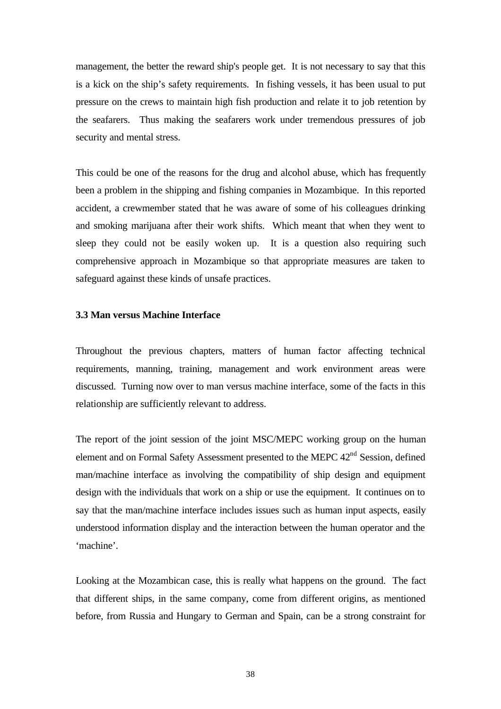management, the better the reward ship's people get. It is not necessary to say that this is a kick on the ship's safety requirements. In fishing vessels, it has been usual to put pressure on the crews to maintain high fish production and relate it to job retention by the seafarers. Thus making the seafarers work under tremendous pressures of job security and mental stress.

This could be one of the reasons for the drug and alcohol abuse, which has frequently been a problem in the shipping and fishing companies in Mozambique. In this reported accident, a crewmember stated that he was aware of some of his colleagues drinking and smoking marijuana after their work shifts. Which meant that when they went to sleep they could not be easily woken up. It is a question also requiring such comprehensive approach in Mozambique so that appropriate measures are taken to safeguard against these kinds of unsafe practices.

#### **3.3 Man versus Machine Interface**

Throughout the previous chapters, matters of human factor affecting technical requirements, manning, training, management and work environment areas were discussed. Turning now over to man versus machine interface, some of the facts in this relationship are sufficiently relevant to address.

The report of the joint session of the joint MSC/MEPC working group on the human element and on Formal Safety Assessment presented to the MEPC 42<sup>nd</sup> Session, defined man/machine interface as involving the compatibility of ship design and equipment design with the individuals that work on a ship or use the equipment. It continues on to say that the man/machine interface includes issues such as human input aspects, easily understood information display and the interaction between the human operator and the 'machine'.

Looking at the Mozambican case, this is really what happens on the ground. The fact that different ships, in the same company, come from different origins, as mentioned before, from Russia and Hungary to German and Spain, can be a strong constraint for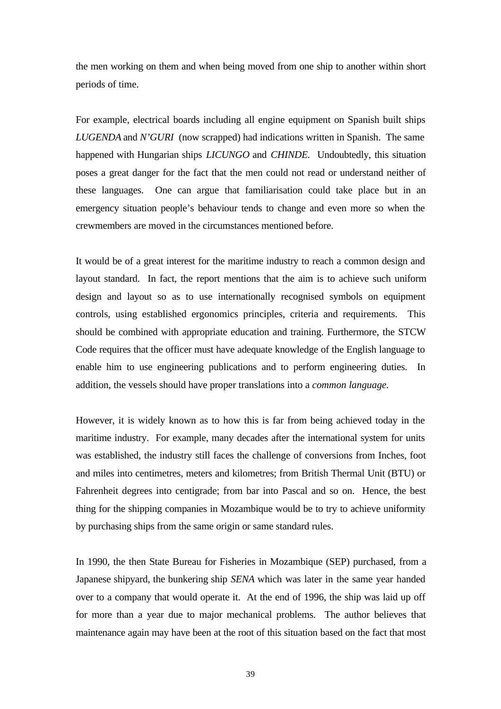the men working on them and when being moved from one ship to another within short periods of time.

For example, electrical boards including all engine equipment on Spanish built ships *LUGENDA* and *N'GURI* (now scrapped) had indications written in Spanish. The same happened with Hungarian ships *LICUNGO* and *CHINDE.* Undoubtedly, this situation poses a great danger for the fact that the men could not read or understand neither of these languages. One can argue that familiarisation could take place but in an emergency situation people's behaviour tends to change and even more so when the crewmembers are moved in the circumstances mentioned before.

It would be of a great interest for the maritime industry to reach a common design and layout standard. In fact, the report mentions that the aim is to achieve such uniform design and layout so as to use internationally recognised symbols on equipment controls, using established ergonomics principles, criteria and requirements. This should be combined with appropriate education and training. Furthermore, the STCW Code requires that the officer must have adequate knowledge of the English language to enable him to use engineering publications and to perform engineering duties. In addition, the vessels should have proper translations into a *common language.*

However, it is widely known as to how this is far from being achieved today in the maritime industry. For example, many decades after the international system for units was established, the industry still faces the challenge of conversions from Inches, foot and miles into centimetres, meters and kilometres; from British Thermal Unit (BTU) or Fahrenheit degrees into centigrade; from bar into Pascal and so on. Hence, the best thing for the shipping companies in Mozambique would be to try to achieve uniformity by purchasing ships from the same origin or same standard rules.

In 1990, the then State Bureau for Fisheries in Mozambique (SEP) purchased, from a Japanese shipyard, the bunkering ship *SENA* which was later in the same year handed over to a company that would operate it. At the end of 1996, the ship was laid up off for more than a year due to major mechanical problems. The author believes that maintenance again may have been at the root of this situation based on the fact that most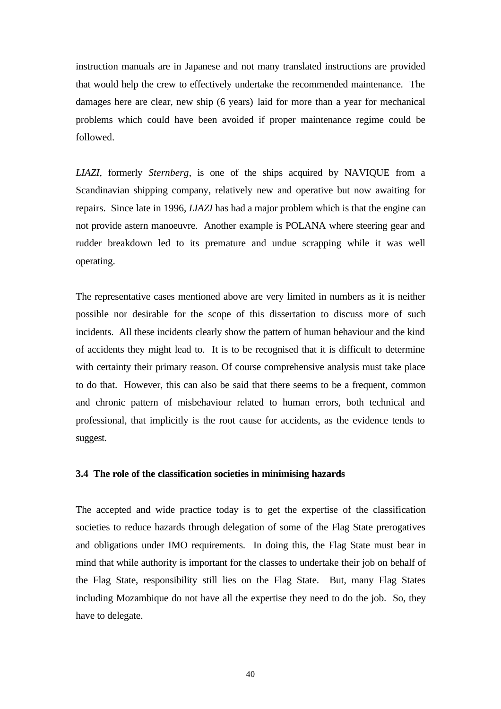instruction manuals are in Japanese and not many translated instructions are provided that would help the crew to effectively undertake the recommended maintenance. The damages here are clear, new ship (6 years) laid for more than a year for mechanical problems which could have been avoided if proper maintenance regime could be followed.

*LIAZI*, formerly *Sternberg*, is one of the ships acquired by NAVIQUE from a Scandinavian shipping company, relatively new and operative but now awaiting for repairs. Since late in 1996, *LIAZI* has had a major problem which is that the engine can not provide astern manoeuvre. Another example is POLANA where steering gear and rudder breakdown led to its premature and undue scrapping while it was well operating.

The representative cases mentioned above are very limited in numbers as it is neither possible nor desirable for the scope of this dissertation to discuss more of such incidents. All these incidents clearly show the pattern of human behaviour and the kind of accidents they might lead to. It is to be recognised that it is difficult to determine with certainty their primary reason. Of course comprehensive analysis must take place to do that. However, this can also be said that there seems to be a frequent, common and chronic pattern of misbehaviour related to human errors, both technical and professional, that implicitly is the root cause for accidents, as the evidence tends to suggest.

#### **3.4 The role of the classification societies in minimising hazards**

The accepted and wide practice today is to get the expertise of the classification societies to reduce hazards through delegation of some of the Flag State prerogatives and obligations under IMO requirements. In doing this, the Flag State must bear in mind that while authority is important for the classes to undertake their job on behalf of the Flag State, responsibility still lies on the Flag State. But, many Flag States including Mozambique do not have all the expertise they need to do the job. So, they have to delegate.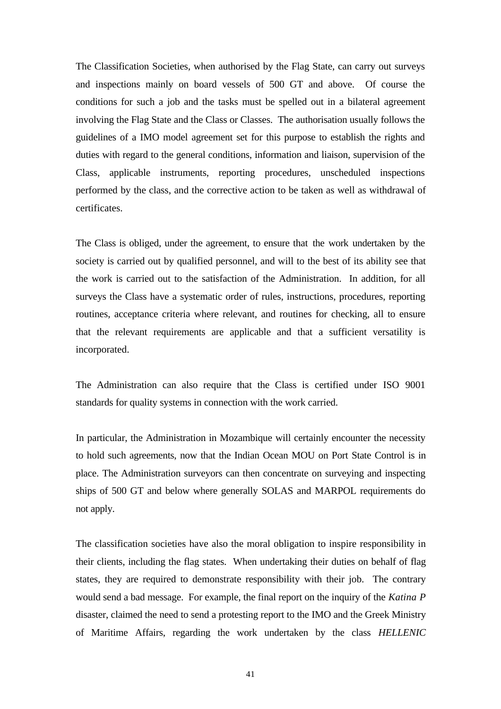The Classification Societies, when authorised by the Flag State, can carry out surveys and inspections mainly on board vessels of 500 GT and above. Of course the conditions for such a job and the tasks must be spelled out in a bilateral agreement involving the Flag State and the Class or Classes. The authorisation usually follows the guidelines of a IMO model agreement set for this purpose to establish the rights and duties with regard to the general conditions, information and liaison, supervision of the Class, applicable instruments, reporting procedures, unscheduled inspections performed by the class, and the corrective action to be taken as well as withdrawal of certificates.

The Class is obliged, under the agreement, to ensure that the work undertaken by the society is carried out by qualified personnel, and will to the best of its ability see that the work is carried out to the satisfaction of the Administration. In addition, for all surveys the Class have a systematic order of rules, instructions, procedures, reporting routines, acceptance criteria where relevant, and routines for checking, all to ensure that the relevant requirements are applicable and that a sufficient versatility is incorporated.

The Administration can also require that the Class is certified under ISO 9001 standards for quality systems in connection with the work carried.

In particular, the Administration in Mozambique will certainly encounter the necessity to hold such agreements, now that the Indian Ocean MOU on Port State Control is in place. The Administration surveyors can then concentrate on surveying and inspecting ships of 500 GT and below where generally SOLAS and MARPOL requirements do not apply.

The classification societies have also the moral obligation to inspire responsibility in their clients, including the flag states. When undertaking their duties on behalf of flag states, they are required to demonstrate responsibility with their job. The contrary would send a bad message. For example, the final report on the inquiry of the *Katina P* disaster, claimed the need to send a protesting report to the IMO and the Greek Ministry of Maritime Affairs, regarding the work undertaken by the class *HELLENIC*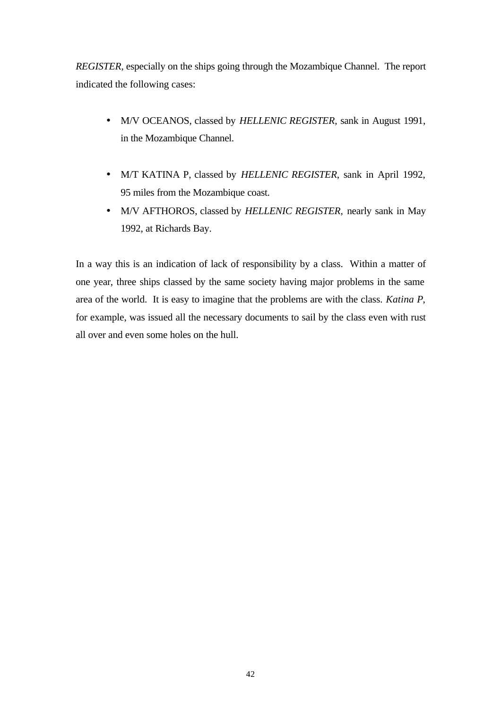*REGISTER*, especially on the ships going through the Mozambique Channel. The report indicated the following cases:

- M/V OCEANOS, classed by *HELLENIC REGISTER,* sank in August 1991, in the Mozambique Channel.
- M/T KATINA P, classed by *HELLENIC REGISTER*, sank in April 1992, 95 miles from the Mozambique coast.
- M/V AFTHOROS, classed by *HELLENIC REGISTER,* nearly sank in May 1992, at Richards Bay.

In a way this is an indication of lack of responsibility by a class. Within a matter of one year, three ships classed by the same society having major problems in the same area of the world. It is easy to imagine that the problems are with the class. *Katina P*, for example, was issued all the necessary documents to sail by the class even with rust all over and even some holes on the hull.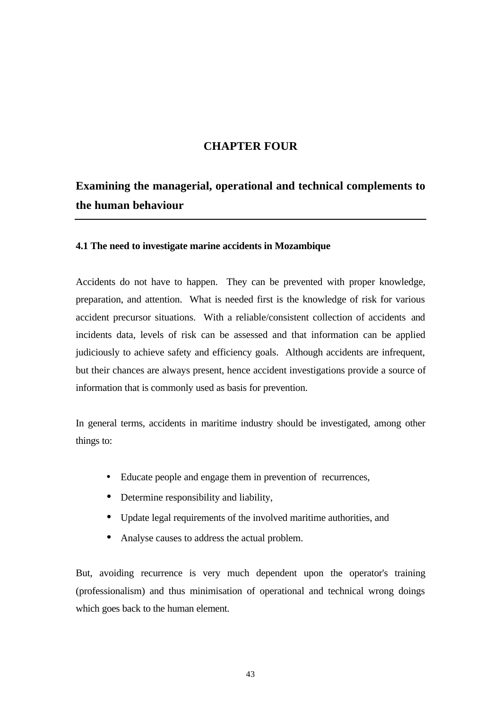# **CHAPTER FOUR**

# **Examining the managerial, operational and technical complements to the human behaviour**

#### **4.1 The need to investigate marine accidents in Mozambique**

Accidents do not have to happen. They can be prevented with proper knowledge, preparation, and attention. What is needed first is the knowledge of risk for various accident precursor situations. With a reliable/consistent collection of accidents and incidents data, levels of risk can be assessed and that information can be applied judiciously to achieve safety and efficiency goals. Although accidents are infrequent, but their chances are always present, hence accident investigations provide a source of information that is commonly used as basis for prevention.

In general terms, accidents in maritime industry should be investigated, among other things to:

- Educate people and engage them in prevention of recurrences,
- Determine responsibility and liability,
- Update legal requirements of the involved maritime authorities, and
- Analyse causes to address the actual problem.

But, avoiding recurrence is very much dependent upon the operator's training (professionalism) and thus minimisation of operational and technical wrong doings which goes back to the human element.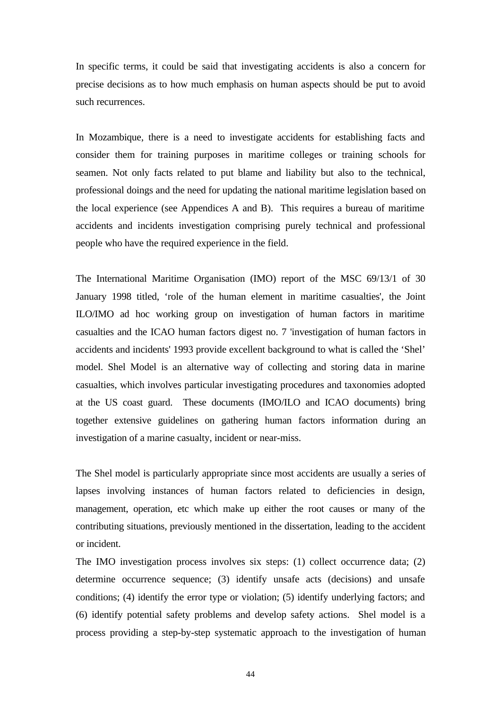In specific terms, it could be said that investigating accidents is also a concern for precise decisions as to how much emphasis on human aspects should be put to avoid such recurrences.

In Mozambique, there is a need to investigate accidents for establishing facts and consider them for training purposes in maritime colleges or training schools for seamen. Not only facts related to put blame and liability but also to the technical, professional doings and the need for updating the national maritime legislation based on the local experience (see Appendices A and B). This requires a bureau of maritime accidents and incidents investigation comprising purely technical and professional people who have the required experience in the field.

The International Maritime Organisation (IMO) report of the MSC 69/13/1 of 30 January 1998 titled, 'role of the human element in maritime casualties', the Joint ILO/IMO ad hoc working group on investigation of human factors in maritime casualties and the ICAO human factors digest no. 7 'investigation of human factors in accidents and incidents' 1993 provide excellent background to what is called the 'Shel' model. Shel Model is an alternative way of collecting and storing data in marine casualties, which involves particular investigating procedures and taxonomies adopted at the US coast guard. These documents (IMO/ILO and ICAO documents) bring together extensive guidelines on gathering human factors information during an investigation of a marine casualty, incident or near-miss.

The Shel model is particularly appropriate since most accidents are usually a series of lapses involving instances of human factors related to deficiencies in design, management, operation, etc which make up either the root causes or many of the contributing situations, previously mentioned in the dissertation, leading to the accident or incident.

The IMO investigation process involves six steps: (1) collect occurrence data; (2) determine occurrence sequence; (3) identify unsafe acts (decisions) and unsafe conditions; (4) identify the error type or violation; (5) identify underlying factors; and (6) identify potential safety problems and develop safety actions. Shel model is a process providing a step-by-step systematic approach to the investigation of human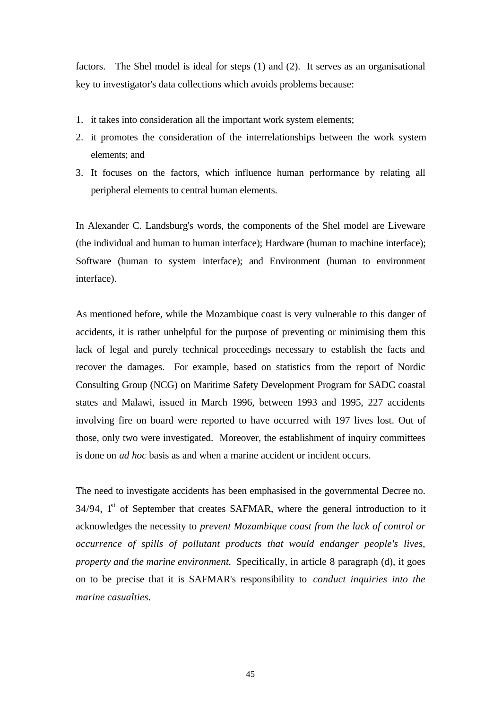factors. The Shel model is ideal for steps (1) and (2). It serves as an organisational key to investigator's data collections which avoids problems because:

- 1. it takes into consideration all the important work system elements;
- 2. it promotes the consideration of the interrelationships between the work system elements; and
- 3. It focuses on the factors, which influence human performance by relating all peripheral elements to central human elements.

In Alexander C. Landsburg's words, the components of the Shel model are Liveware (the individual and human to human interface); Hardware (human to machine interface); Software (human to system interface); and Environment (human to environment interface).

As mentioned before, while the Mozambique coast is very vulnerable to this danger of accidents, it is rather unhelpful for the purpose of preventing or minimising them this lack of legal and purely technical proceedings necessary to establish the facts and recover the damages. For example, based on statistics from the report of Nordic Consulting Group (NCG) on Maritime Safety Development Program for SADC coastal states and Malawi, issued in March 1996, between 1993 and 1995, 227 accidents involving fire on board were reported to have occurred with 197 lives lost. Out of those, only two were investigated. Moreover, the establishment of inquiry committees is done on *ad hoc* basis as and when a marine accident or incident occurs.

The need to investigate accidents has been emphasised in the governmental Decree no.  $34/94$ ,  $1<sup>st</sup>$  of September that creates SAFMAR, where the general introduction to it acknowledges the necessity to *prevent Mozambique coast from the lack of control or occurrence of spills of pollutant products that would endanger people's lives, property and the marine environment.* Specifically, in article 8 paragraph (d), it goes on to be precise that it is SAFMAR's responsibility to *conduct inquiries into the marine casualties.*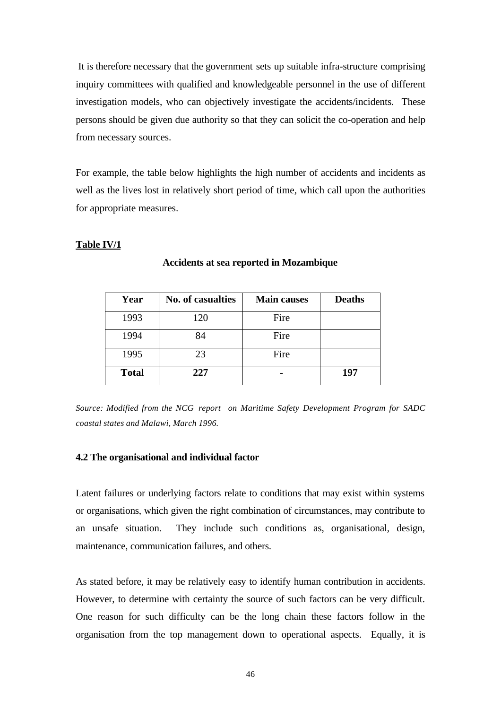It is therefore necessary that the government sets up suitable infra-structure comprising inquiry committees with qualified and knowledgeable personnel in the use of different investigation models, who can objectively investigate the accidents/incidents. These persons should be given due authority so that they can solicit the co-operation and help from necessary sources.

For example, the table below highlights the high number of accidents and incidents as well as the lives lost in relatively short period of time, which call upon the authorities for appropriate measures.

#### **Table IV/1**

| Year         | <b>No. of casualties</b> | <b>Main causes</b> | <b>Deaths</b> |
|--------------|--------------------------|--------------------|---------------|
| 1993         | 120                      | Fire               |               |
| 1994         | 84                       | Fire               |               |
| 1995         | 23                       | Fire               |               |
| <b>Total</b> | 227                      |                    | 197           |

**Accidents at sea reported in Mozambique**

*Source: Modified from the NCG report on Maritime Safety Development Program for SADC coastal states and Malawi, March 1996.*

#### **4.2 The organisational and individual factor**

Latent failures or underlying factors relate to conditions that may exist within systems or organisations, which given the right combination of circumstances, may contribute to an unsafe situation. They include such conditions as, organisational, design, maintenance, communication failures, and others.

As stated before, it may be relatively easy to identify human contribution in accidents. However, to determine with certainty the source of such factors can be very difficult. One reason for such difficulty can be the long chain these factors follow in the organisation from the top management down to operational aspects. Equally, it is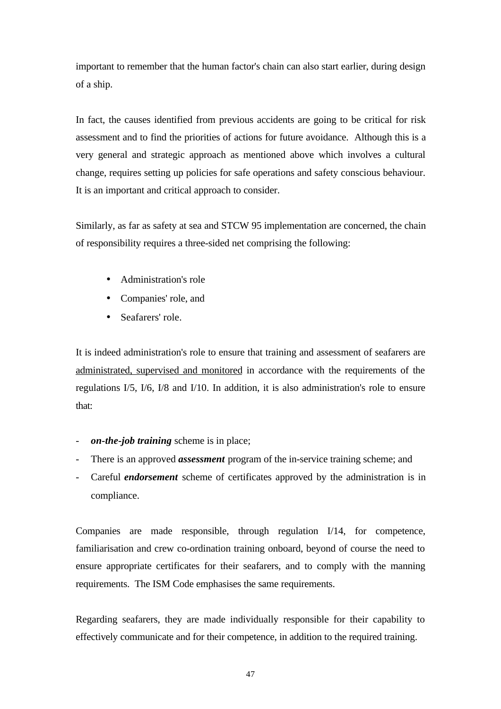important to remember that the human factor's chain can also start earlier, during design of a ship.

In fact, the causes identified from previous accidents are going to be critical for risk assessment and to find the priorities of actions for future avoidance. Although this is a very general and strategic approach as mentioned above which involves a cultural change, requires setting up policies for safe operations and safety conscious behaviour. It is an important and critical approach to consider.

Similarly, as far as safety at sea and STCW 95 implementation are concerned, the chain of responsibility requires a three-sided net comprising the following:

- Administration's role
- Companies' role, and
- Seafarers' role.

It is indeed administration's role to ensure that training and assessment of seafarers are administrated, supervised and monitored in accordance with the requirements of the regulations I/5, I/6, I/8 and I/10. In addition, it is also administration's role to ensure that:

- *on-the-job training* scheme is in place;
- There is an approved *assessment* program of the in-service training scheme; and
- Careful *endorsement* scheme of certificates approved by the administration is in compliance.

Companies are made responsible, through regulation I/14, for competence, familiarisation and crew co-ordination training onboard, beyond of course the need to ensure appropriate certificates for their seafarers, and to comply with the manning requirements. The ISM Code emphasises the same requirements.

Regarding seafarers, they are made individually responsible for their capability to effectively communicate and for their competence, in addition to the required training.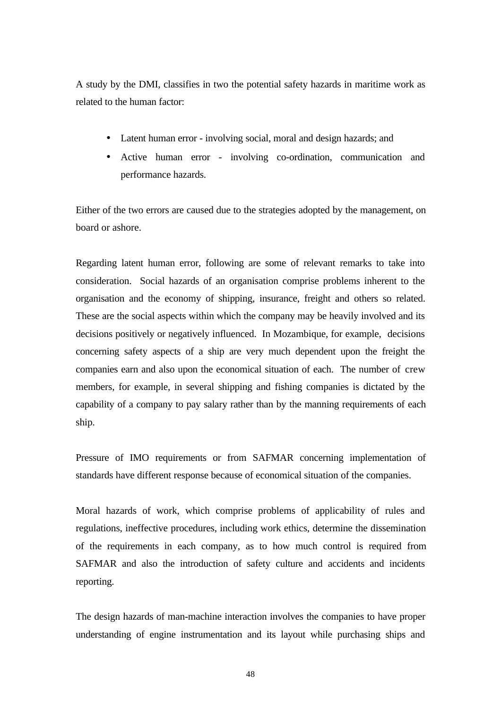A study by the DMI, classifies in two the potential safety hazards in maritime work as related to the human factor:

- Latent human error involving social, moral and design hazards; and
- Active human error involving co-ordination, communication and performance hazards.

Either of the two errors are caused due to the strategies adopted by the management, on board or ashore.

Regarding latent human error, following are some of relevant remarks to take into consideration. Social hazards of an organisation comprise problems inherent to the organisation and the economy of shipping, insurance, freight and others so related. These are the social aspects within which the company may be heavily involved and its decisions positively or negatively influenced. In Mozambique, for example, decisions concerning safety aspects of a ship are very much dependent upon the freight the companies earn and also upon the economical situation of each. The number of crew members, for example, in several shipping and fishing companies is dictated by the capability of a company to pay salary rather than by the manning requirements of each ship.

Pressure of IMO requirements or from SAFMAR concerning implementation of standards have different response because of economical situation of the companies.

Moral hazards of work, which comprise problems of applicability of rules and regulations, ineffective procedures, including work ethics, determine the dissemination of the requirements in each company, as to how much control is required from SAFMAR and also the introduction of safety culture and accidents and incidents reporting.

The design hazards of man-machine interaction involves the companies to have proper understanding of engine instrumentation and its layout while purchasing ships and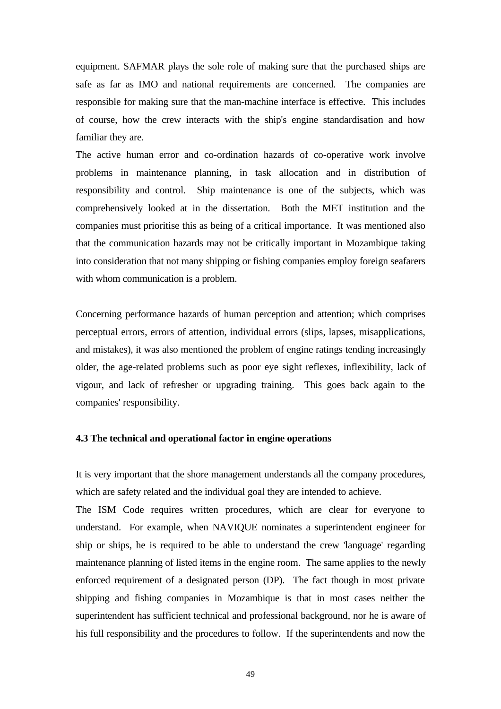equipment. SAFMAR plays the sole role of making sure that the purchased ships are safe as far as IMO and national requirements are concerned. The companies are responsible for making sure that the man-machine interface is effective. This includes of course, how the crew interacts with the ship's engine standardisation and how familiar they are.

The active human error and co-ordination hazards of co-operative work involve problems in maintenance planning, in task allocation and in distribution of responsibility and control. Ship maintenance is one of the subjects, which was comprehensively looked at in the dissertation. Both the MET institution and the companies must prioritise this as being of a critical importance. It was mentioned also that the communication hazards may not be critically important in Mozambique taking into consideration that not many shipping or fishing companies employ foreign seafarers with whom communication is a problem.

Concerning performance hazards of human perception and attention; which comprises perceptual errors, errors of attention, individual errors (slips, lapses, misapplications, and mistakes), it was also mentioned the problem of engine ratings tending increasingly older, the age-related problems such as poor eye sight reflexes, inflexibility, lack of vigour, and lack of refresher or upgrading training. This goes back again to the companies' responsibility.

#### **4.3 The technical and operational factor in engine operations**

It is very important that the shore management understands all the company procedures, which are safety related and the individual goal they are intended to achieve.

The ISM Code requires written procedures, which are clear for everyone to understand. For example, when NAVIQUE nominates a superintendent engineer for ship or ships, he is required to be able to understand the crew 'language' regarding maintenance planning of listed items in the engine room. The same applies to the newly enforced requirement of a designated person (DP). The fact though in most private shipping and fishing companies in Mozambique is that in most cases neither the superintendent has sufficient technical and professional background, nor he is aware of his full responsibility and the procedures to follow. If the superintendents and now the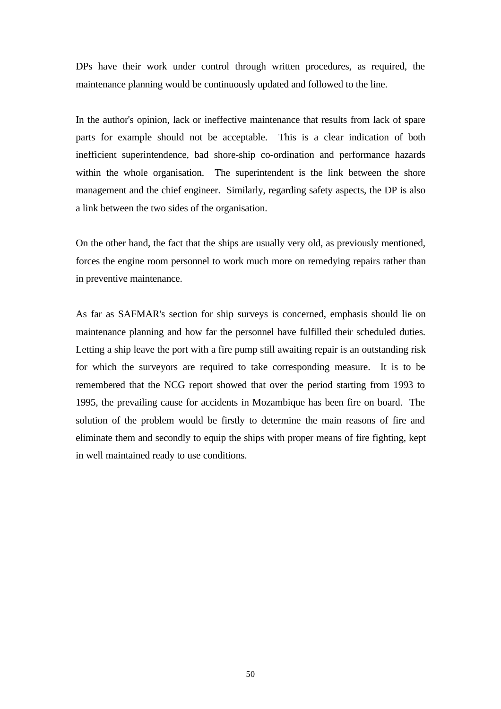DPs have their work under control through written procedures, as required, the maintenance planning would be continuously updated and followed to the line.

In the author's opinion, lack or ineffective maintenance that results from lack of spare parts for example should not be acceptable. This is a clear indication of both inefficient superintendence, bad shore-ship co-ordination and performance hazards within the whole organisation. The superintendent is the link between the shore management and the chief engineer. Similarly, regarding safety aspects, the DP is also a link between the two sides of the organisation.

On the other hand, the fact that the ships are usually very old, as previously mentioned, forces the engine room personnel to work much more on remedying repairs rather than in preventive maintenance.

As far as SAFMAR's section for ship surveys is concerned, emphasis should lie on maintenance planning and how far the personnel have fulfilled their scheduled duties. Letting a ship leave the port with a fire pump still awaiting repair is an outstanding risk for which the surveyors are required to take corresponding measure. It is to be remembered that the NCG report showed that over the period starting from 1993 to 1995, the prevailing cause for accidents in Mozambique has been fire on board. The solution of the problem would be firstly to determine the main reasons of fire and eliminate them and secondly to equip the ships with proper means of fire fighting, kept in well maintained ready to use conditions.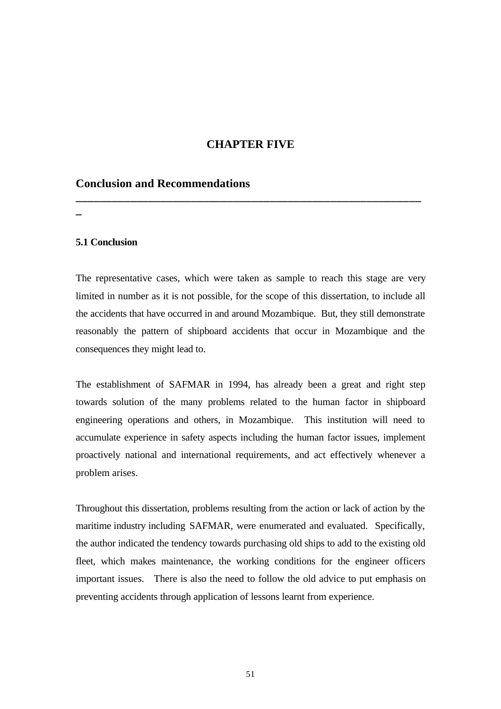# **CHAPTER FIVE**

**\_\_\_\_\_\_\_\_\_\_\_\_\_\_\_\_\_\_\_\_\_\_\_\_\_\_\_\_\_\_\_\_\_\_\_\_\_\_\_\_\_\_\_\_\_\_\_\_\_\_\_\_\_\_\_\_\_**

#### **Conclusion and Recommendations**

**\_**

#### **5.1 Conclusion**

The representative cases, which were taken as sample to reach this stage are very limited in number as it is not possible, for the scope of this dissertation, to include all the accidents that have occurred in and around Mozambique. But, they still demonstrate reasonably the pattern of shipboard accidents that occur in Mozambique and the consequences they might lead to.

The establishment of SAFMAR in 1994, has already been a great and right step towards solution of the many problems related to the human factor in shipboard engineering operations and others, in Mozambique. This institution will need to accumulate experience in safety aspects including the human factor issues, implement proactively national and international requirements, and act effectively whenever a problem arises.

Throughout this dissertation, problems resulting from the action or lack of action by the maritime industry including SAFMAR, were enumerated and evaluated. Specifically, the author indicated the tendency towards purchasing old ships to add to the existing old fleet, which makes maintenance, the working conditions for the engineer officers important issues. There is also the need to follow the old advice to put emphasis on preventing accidents through application of lessons learnt from experience.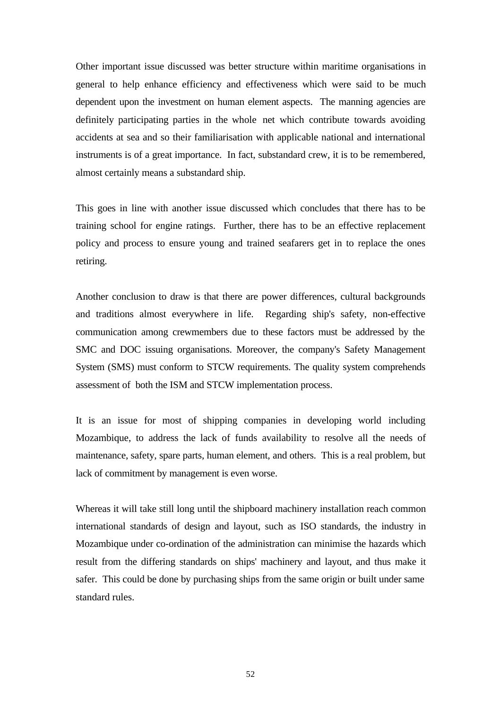Other important issue discussed was better structure within maritime organisations in general to help enhance efficiency and effectiveness which were said to be much dependent upon the investment on human element aspects. The manning agencies are definitely participating parties in the whole net which contribute towards avoiding accidents at sea and so their familiarisation with applicable national and international instruments is of a great importance. In fact, substandard crew, it is to be remembered, almost certainly means a substandard ship.

This goes in line with another issue discussed which concludes that there has to be training school for engine ratings. Further, there has to be an effective replacement policy and process to ensure young and trained seafarers get in to replace the ones retiring.

Another conclusion to draw is that there are power differences, cultural backgrounds and traditions almost everywhere in life. Regarding ship's safety, non-effective communication among crewmembers due to these factors must be addressed by the SMC and DOC issuing organisations. Moreover, the company's Safety Management System (SMS) must conform to STCW requirements. The quality system comprehends assessment of both the ISM and STCW implementation process.

It is an issue for most of shipping companies in developing world including Mozambique, to address the lack of funds availability to resolve all the needs of maintenance, safety, spare parts, human element, and others. This is a real problem, but lack of commitment by management is even worse.

Whereas it will take still long until the shipboard machinery installation reach common international standards of design and layout, such as ISO standards, the industry in Mozambique under co-ordination of the administration can minimise the hazards which result from the differing standards on ships' machinery and layout, and thus make it safer. This could be done by purchasing ships from the same origin or built under same standard rules.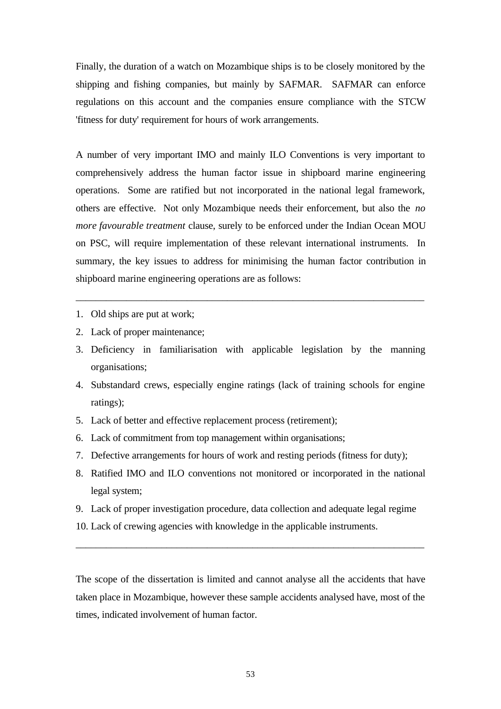Finally, the duration of a watch on Mozambique ships is to be closely monitored by the shipping and fishing companies, but mainly by SAFMAR. SAFMAR can enforce regulations on this account and the companies ensure compliance with the STCW 'fitness for duty' requirement for hours of work arrangements.

A number of very important IMO and mainly ILO Conventions is very important to comprehensively address the human factor issue in shipboard marine engineering operations. Some are ratified but not incorporated in the national legal framework, others are effective. Not only Mozambique needs their enforcement, but also the *no more favourable treatment* clause, surely to be enforced under the Indian Ocean MOU on PSC, will require implementation of these relevant international instruments. In summary, the key issues to address for minimising the human factor contribution in shipboard marine engineering operations are as follows:

- 1. Old ships are put at work;
- 2. Lack of proper maintenance;
- 3. Deficiency in familiarisation with applicable legislation by the manning organisations;

\_\_\_\_\_\_\_\_\_\_\_\_\_\_\_\_\_\_\_\_\_\_\_\_\_\_\_\_\_\_\_\_\_\_\_\_\_\_\_\_\_\_\_\_\_\_\_\_\_\_\_\_\_\_\_\_\_\_\_\_\_\_\_\_\_\_\_\_\_

- 4. Substandard crews, especially engine ratings (lack of training schools for engine ratings);
- 5. Lack of better and effective replacement process (retirement);
- 6. Lack of commitment from top management within organisations;
- 7. Defective arrangements for hours of work and resting periods (fitness for duty);
- 8. Ratified IMO and ILO conventions not monitored or incorporated in the national legal system;
- 9. Lack of proper investigation procedure, data collection and adequate legal regime

\_\_\_\_\_\_\_\_\_\_\_\_\_\_\_\_\_\_\_\_\_\_\_\_\_\_\_\_\_\_\_\_\_\_\_\_\_\_\_\_\_\_\_\_\_\_\_\_\_\_\_\_\_\_\_\_\_\_\_\_\_\_\_\_\_\_\_\_\_

10. Lack of crewing agencies with knowledge in the applicable instruments.

The scope of the dissertation is limited and cannot analyse all the accidents that have taken place in Mozambique, however these sample accidents analysed have, most of the times, indicated involvement of human factor.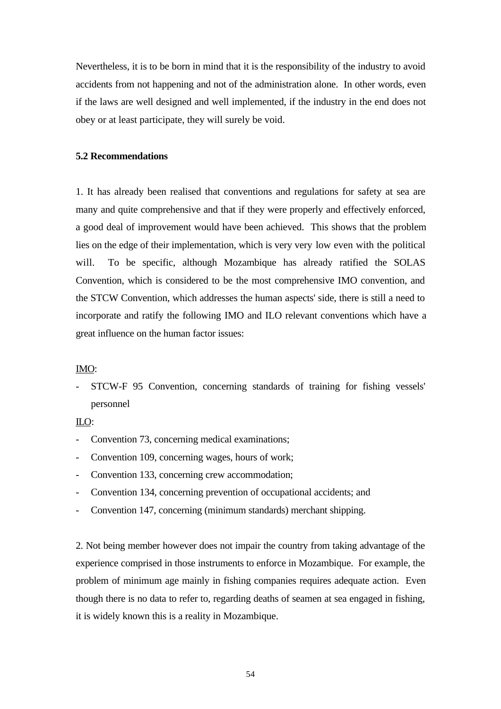Nevertheless, it is to be born in mind that it is the responsibility of the industry to avoid accidents from not happening and not of the administration alone. In other words, even if the laws are well designed and well implemented, if the industry in the end does not obey or at least participate, they will surely be void.

#### **5.2 Recommendations**

1. It has already been realised that conventions and regulations for safety at sea are many and quite comprehensive and that if they were properly and effectively enforced, a good deal of improvement would have been achieved. This shows that the problem lies on the edge of their implementation, which is very very low even with the political will. To be specific, although Mozambique has already ratified the SOLAS Convention, which is considered to be the most comprehensive IMO convention, and the STCW Convention, which addresses the human aspects' side, there is still a need to incorporate and ratify the following IMO and ILO relevant conventions which have a great influence on the human factor issues:

#### IMO:

STCW-F 95 Convention, concerning standards of training for fishing vessels' personnel

#### ILO:

- Convention 73, concerning medical examinations;
- Convention 109, concerning wages, hours of work;
- Convention 133, concerning crew accommodation;
- Convention 134, concerning prevention of occupational accidents; and
- Convention 147, concerning (minimum standards) merchant shipping.

2. Not being member however does not impair the country from taking advantage of the experience comprised in those instruments to enforce in Mozambique. For example, the problem of minimum age mainly in fishing companies requires adequate action. Even though there is no data to refer to, regarding deaths of seamen at sea engaged in fishing, it is widely known this is a reality in Mozambique.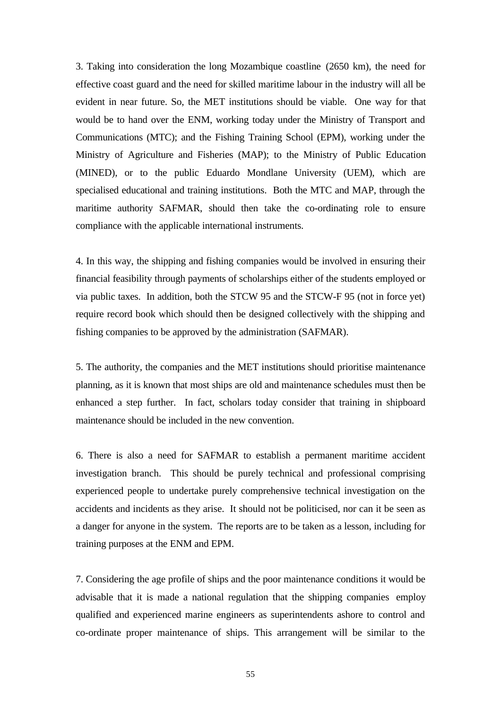3. Taking into consideration the long Mozambique coastline (2650 km), the need for effective coast guard and the need for skilled maritime labour in the industry will all be evident in near future. So, the MET institutions should be viable. One way for that would be to hand over the ENM, working today under the Ministry of Transport and Communications (MTC); and the Fishing Training School (EPM), working under the Ministry of Agriculture and Fisheries (MAP); to the Ministry of Public Education (MINED), or to the public Eduardo Mondlane University (UEM), which are specialised educational and training institutions. Both the MTC and MAP, through the maritime authority SAFMAR, should then take the co-ordinating role to ensure compliance with the applicable international instruments.

4. In this way, the shipping and fishing companies would be involved in ensuring their financial feasibility through payments of scholarships either of the students employed or via public taxes. In addition, both the STCW 95 and the STCW-F 95 (not in force yet) require record book which should then be designed collectively with the shipping and fishing companies to be approved by the administration (SAFMAR).

5. The authority, the companies and the MET institutions should prioritise maintenance planning, as it is known that most ships are old and maintenance schedules must then be enhanced a step further. In fact, scholars today consider that training in shipboard maintenance should be included in the new convention.

6. There is also a need for SAFMAR to establish a permanent maritime accident investigation branch. This should be purely technical and professional comprising experienced people to undertake purely comprehensive technical investigation on the accidents and incidents as they arise. It should not be politicised, nor can it be seen as a danger for anyone in the system. The reports are to be taken as a lesson, including for training purposes at the ENM and EPM.

7. Considering the age profile of ships and the poor maintenance conditions it would be advisable that it is made a national regulation that the shipping companies employ qualified and experienced marine engineers as superintendents ashore to control and co-ordinate proper maintenance of ships. This arrangement will be similar to the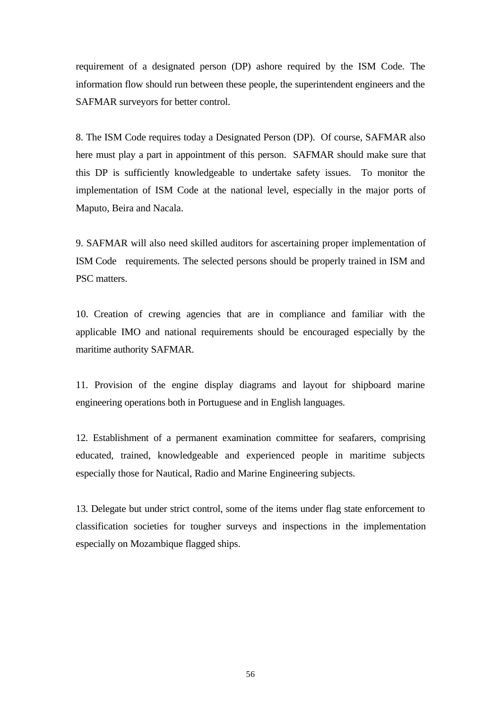requirement of a designated person (DP) ashore required by the ISM Code. The information flow should run between these people, the superintendent engineers and the SAFMAR surveyors for better control.

8. The ISM Code requires today a Designated Person (DP). Of course, SAFMAR also here must play a part in appointment of this person. SAFMAR should make sure that this DP is sufficiently knowledgeable to undertake safety issues. To monitor the implementation of ISM Code at the national level, especially in the major ports of Maputo, Beira and Nacala.

9. SAFMAR will also need skilled auditors for ascertaining proper implementation of ISM Code requirements. The selected persons should be properly trained in ISM and PSC matters.

10. Creation of crewing agencies that are in compliance and familiar with the applicable IMO and national requirements should be encouraged especially by the maritime authority SAFMAR.

11. Provision of the engine display diagrams and layout for shipboard marine engineering operations both in Portuguese and in English languages.

12. Establishment of a permanent examination committee for seafarers, comprising educated, trained, knowledgeable and experienced people in maritime subjects especially those for Nautical, Radio and Marine Engineering subjects.

13. Delegate but under strict control, some of the items under flag state enforcement to classification societies for tougher surveys and inspections in the implementation especially on Mozambique flagged ships.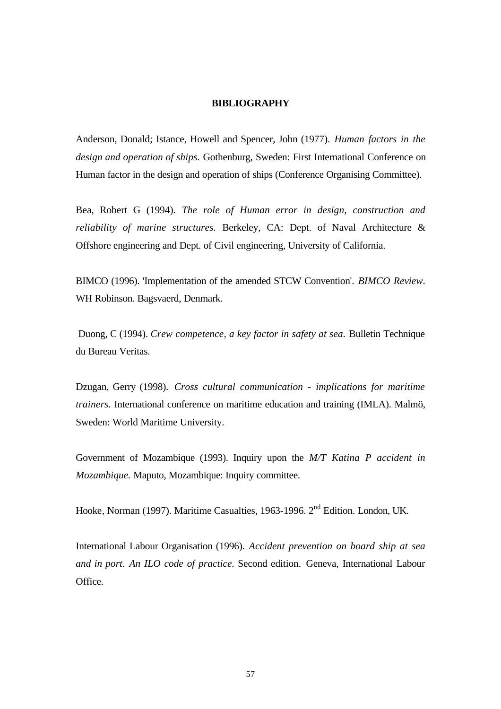#### **BIBLIOGRAPHY**

Anderson, Donald; Istance, Howell and Spencer, John (1977). *Human factors in the design and operation of ships.* Gothenburg, Sweden: First International Conference on Human factor in the design and operation of ships (Conference Organising Committee).

Bea, Robert G (1994). *The role of Human error in design, construction and reliability of marine structures.* Berkeley, CA: Dept. of Naval Architecture & Offshore engineering and Dept. of Civil engineering, University of California.

BIMCO (1996). 'Implementation of the amended STCW Convention'. *BIMCO Review*. WH Robinson. Bagsvaerd, Denmark.

Duong, C (1994). *Crew competence, a key factor in safety at sea.* Bulletin Technique du Bureau Veritas.

Dzugan, Gerry (1998). *Cross cultural communication - implications for maritime trainers.* International conference on maritime education and training (IMLA). Malmö, Sweden: World Maritime University.

Government of Mozambique (1993). Inquiry upon the *M/T Katina P accident in Mozambique.* Maputo, Mozambique: Inquiry committee.

Hooke, Norman (1997). Maritime Casualties, 1963-1996. 2<sup>nd</sup> Edition. London, UK.

International Labour Organisation (1996). *Accident prevention on board ship at sea and in port. An ILO code of practice.* Second edition. Geneva, International Labour Office.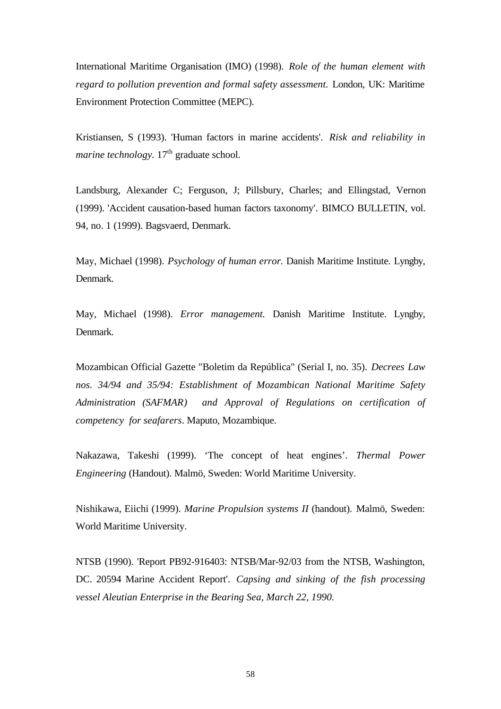International Maritime Organisation (IMO) (1998). *Role of the human element with regard to pollution prevention and formal safety assessment.* London, UK: Maritime Environment Protection Committee (MEPC).

Kristiansen, S (1993). 'Human factors in marine accidents'. *Risk and reliability in marine technology.*  $17<sup>th</sup>$  graduate school.

Landsburg, Alexander C; Ferguson, J; Pillsbury, Charles; and Ellingstad, Vernon (1999). 'Accident causation-based human factors taxonomy'*.* BIMCO BULLETIN, vol. 94, no. 1 (1999). Bagsvaerd, Denmark.

May, Michael (1998). *Psychology of human error.* Danish Maritime Institute. Lyngby, Denmark.

May, Michael (1998). *Error management.* Danish Maritime Institute. Lyngby, Denmark.

Mozambican Official Gazette "Boletim da República" (Serial I, no. 35). *Decrees Law nos. 34/94 and 35/94: Establishment of Mozambican National Maritime Safety Administration (SAFMAR) and Approval of Regulations on certification of competency for seafarers*. Maputo, Mozambique.

Nakazawa, Takeshi (1999). 'The concept of heat engines'. *Thermal Power Engineering* (Handout). Malmö, Sweden: World Maritime University.

Nishikawa, Eiichi (1999). *Marine Propulsion systems II* (handout). Malmö, Sweden: World Maritime University.

NTSB (1990). 'Report PB92-916403: NTSB/Mar-92/03 from the NTSB, Washington, DC. 20594 Marine Accident Report'. *Capsing and sinking of the fish processing vessel Aleutian Enterprise in the Bearing Sea, March 22, 1990.*